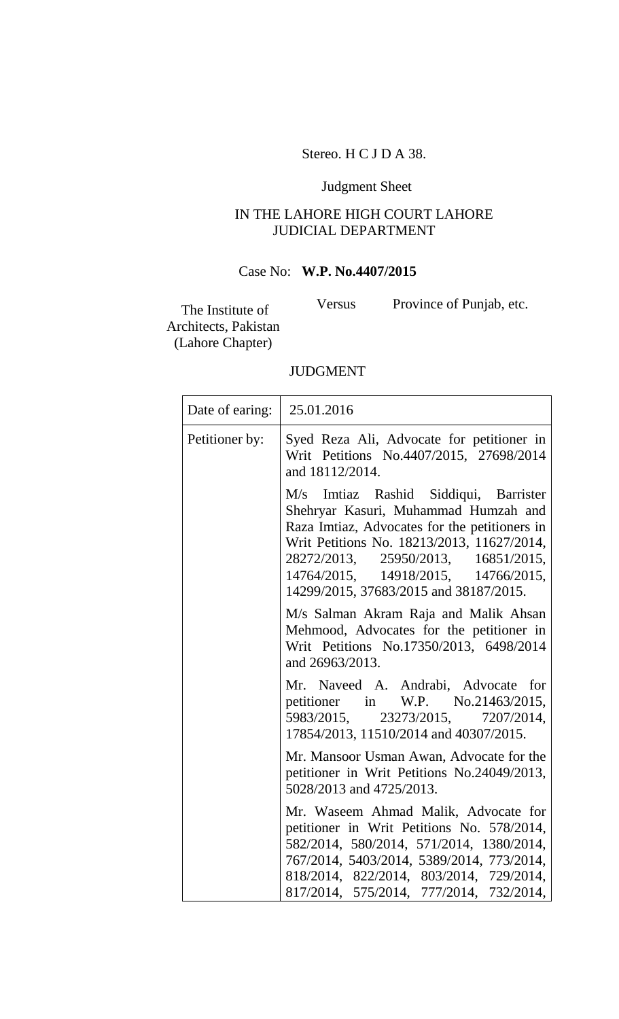# Stereo. H C J D A 38.

# Judgment Sheet

# IN THE LAHORE HIGH COURT LAHORE JUDICIAL DEPARTMENT

# Case No: **W.P. No.4407/2015**

The Institute of Architects, Pakistan (Lahore Chapter)

Versus Province of Punjab, etc.

### JUDGMENT

|  | Date of earing:   25.01.2016 |                                                                                                                                                                                                                                                                                                         |
|--|------------------------------|---------------------------------------------------------------------------------------------------------------------------------------------------------------------------------------------------------------------------------------------------------------------------------------------------------|
|  | Petitioner by:               | Syed Reza Ali, Advocate for petitioner in<br>Writ Petitions No.4407/2015, 27698/2014<br>and 18112/2014.                                                                                                                                                                                                 |
|  |                              | Imtiaz Rashid Siddiqui, Barrister<br>M/s<br>Shehryar Kasuri, Muhammad Humzah and<br>Raza Imtiaz, Advocates for the petitioners in<br>Writ Petitions No. 18213/2013, 11627/2014,<br>28272/2013, 25950/2013, 16851/2015,<br>14764/2015, 14918/2015, 14766/2015,<br>14299/2015, 37683/2015 and 38187/2015. |
|  |                              | M/s Salman Akram Raja and Malik Ahsan<br>Mehmood, Advocates for the petitioner in<br>Writ Petitions No.17350/2013, 6498/2014<br>and 26963/2013.                                                                                                                                                         |
|  |                              | Mr. Naveed A. Andrabi, Advocate for<br>petitioner in W.P. No.21463/2015,<br>5983/2015, 23273/2015, 7207/2014,<br>17854/2013, 11510/2014 and 40307/2015.                                                                                                                                                 |
|  |                              | Mr. Mansoor Usman Awan, Advocate for the<br>petitioner in Writ Petitions No.24049/2013,<br>5028/2013 and 4725/2013.                                                                                                                                                                                     |
|  |                              | Mr. Waseem Ahmad Malik, Advocate for<br>petitioner in Writ Petitions No. 578/2014,<br>582/2014, 580/2014, 571/2014, 1380/2014,<br>767/2014, 5403/2014, 5389/2014, 773/2014,<br>818/2014, 822/2014, 803/2014, 729/2014,<br>817/2014, 575/2014, 777/2014, 732/2014,                                       |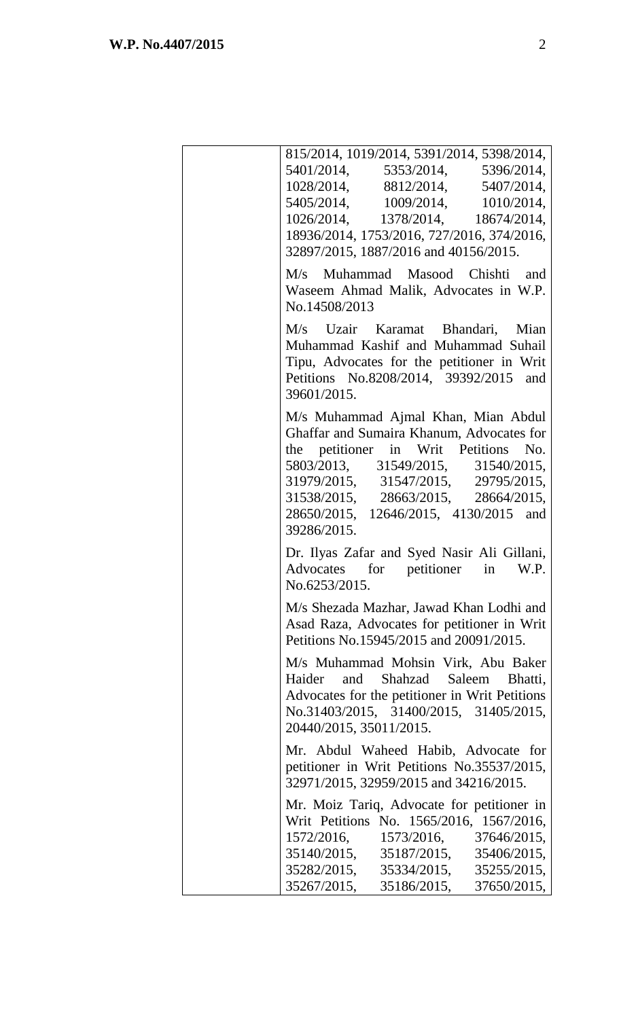| 815/2014, 1019/2014, 5391/2014, 5398/2014,<br>5401/2014, 5353/2014, 5396/2014,<br>1028/2014, 8812/2014, 5407/2014,<br>5405/2014, 1009/2014, 1010/2014,<br>1026/2014, 1378/2014, 18674/2014,<br>18936/2014, 1753/2016, 727/2016, 374/2016,<br>32897/2015, 1887/2016 and 40156/2015.<br>M/s Muhammad Masood Chishti and<br>Waseem Ahmad Malik, Advocates in W.P.<br>No.14508/2013<br>M/s Uzair Karamat Bhandari, Mian<br>Muhammad Kashif and Muhammad Suhail<br>Tipu, Advocates for the petitioner in Writ<br>Petitions No.8208/2014, 39392/2015 and<br>39601/2015.<br>M/s Muhammad Ajmal Khan, Mian Abdul<br>Ghaffar and Sumaira Khanum, Advocates for<br>the petitioner in Writ Petitions No.<br>5803/2013, 31549/2015, 31540/2015,<br>31979/2015, 31547/2015, 29795/2015,<br>31538/2015, 28663/2015, 28664/2015,<br>28650/2015, 12646/2015, 4130/2015 and<br>39286/2015.<br>Dr. Ilyas Zafar and Syed Nasir Ali Gillani,<br>Advocates for petitioner in W.P.<br>No.6253/2015.<br>M/s Shezada Mazhar, Jawad Khan Lodhi and<br>Asad Raza, Advocates for petitioner in Writ<br>Petitions No.15945/2015 and 20091/2015.<br>M/s Muhammad Mohsin Virk, Abu Baker<br>and Shahzad Saleem Bhatti,<br>Haider<br>Advocates for the petitioner in Writ Petitions<br>No.31403/2015, 31400/2015, 31405/2015,<br>20440/2015, 35011/2015.<br>Mr. Abdul Waheed Habib, Advocate for<br>petitioner in Writ Petitions No.35537/2015,<br>32971/2015, 32959/2015 and 34216/2015.<br>Mr. Moiz Tariq, Advocate for petitioner in<br>Writ Petitions No. 1565/2016, 1567/2016,<br>1572/2016, 1573/2016, 37646/2015,<br>35140/2015, 35187/2015, 35406/2015,<br>35282/2015, 35334/2015, 35255/2015,<br>35267/2015, 35186/2015, 37650/2015, |  |
|----------------------------------------------------------------------------------------------------------------------------------------------------------------------------------------------------------------------------------------------------------------------------------------------------------------------------------------------------------------------------------------------------------------------------------------------------------------------------------------------------------------------------------------------------------------------------------------------------------------------------------------------------------------------------------------------------------------------------------------------------------------------------------------------------------------------------------------------------------------------------------------------------------------------------------------------------------------------------------------------------------------------------------------------------------------------------------------------------------------------------------------------------------------------------------------------------------------------------------------------------------------------------------------------------------------------------------------------------------------------------------------------------------------------------------------------------------------------------------------------------------------------------------------------------------------------------------------------------------------------------------------------------------------------------------------------------------------|--|
|                                                                                                                                                                                                                                                                                                                                                                                                                                                                                                                                                                                                                                                                                                                                                                                                                                                                                                                                                                                                                                                                                                                                                                                                                                                                                                                                                                                                                                                                                                                                                                                                                                                                                                                |  |
|                                                                                                                                                                                                                                                                                                                                                                                                                                                                                                                                                                                                                                                                                                                                                                                                                                                                                                                                                                                                                                                                                                                                                                                                                                                                                                                                                                                                                                                                                                                                                                                                                                                                                                                |  |
|                                                                                                                                                                                                                                                                                                                                                                                                                                                                                                                                                                                                                                                                                                                                                                                                                                                                                                                                                                                                                                                                                                                                                                                                                                                                                                                                                                                                                                                                                                                                                                                                                                                                                                                |  |
|                                                                                                                                                                                                                                                                                                                                                                                                                                                                                                                                                                                                                                                                                                                                                                                                                                                                                                                                                                                                                                                                                                                                                                                                                                                                                                                                                                                                                                                                                                                                                                                                                                                                                                                |  |
|                                                                                                                                                                                                                                                                                                                                                                                                                                                                                                                                                                                                                                                                                                                                                                                                                                                                                                                                                                                                                                                                                                                                                                                                                                                                                                                                                                                                                                                                                                                                                                                                                                                                                                                |  |
|                                                                                                                                                                                                                                                                                                                                                                                                                                                                                                                                                                                                                                                                                                                                                                                                                                                                                                                                                                                                                                                                                                                                                                                                                                                                                                                                                                                                                                                                                                                                                                                                                                                                                                                |  |
|                                                                                                                                                                                                                                                                                                                                                                                                                                                                                                                                                                                                                                                                                                                                                                                                                                                                                                                                                                                                                                                                                                                                                                                                                                                                                                                                                                                                                                                                                                                                                                                                                                                                                                                |  |
|                                                                                                                                                                                                                                                                                                                                                                                                                                                                                                                                                                                                                                                                                                                                                                                                                                                                                                                                                                                                                                                                                                                                                                                                                                                                                                                                                                                                                                                                                                                                                                                                                                                                                                                |  |
|                                                                                                                                                                                                                                                                                                                                                                                                                                                                                                                                                                                                                                                                                                                                                                                                                                                                                                                                                                                                                                                                                                                                                                                                                                                                                                                                                                                                                                                                                                                                                                                                                                                                                                                |  |
|                                                                                                                                                                                                                                                                                                                                                                                                                                                                                                                                                                                                                                                                                                                                                                                                                                                                                                                                                                                                                                                                                                                                                                                                                                                                                                                                                                                                                                                                                                                                                                                                                                                                                                                |  |
|                                                                                                                                                                                                                                                                                                                                                                                                                                                                                                                                                                                                                                                                                                                                                                                                                                                                                                                                                                                                                                                                                                                                                                                                                                                                                                                                                                                                                                                                                                                                                                                                                                                                                                                |  |
|                                                                                                                                                                                                                                                                                                                                                                                                                                                                                                                                                                                                                                                                                                                                                                                                                                                                                                                                                                                                                                                                                                                                                                                                                                                                                                                                                                                                                                                                                                                                                                                                                                                                                                                |  |
|                                                                                                                                                                                                                                                                                                                                                                                                                                                                                                                                                                                                                                                                                                                                                                                                                                                                                                                                                                                                                                                                                                                                                                                                                                                                                                                                                                                                                                                                                                                                                                                                                                                                                                                |  |
|                                                                                                                                                                                                                                                                                                                                                                                                                                                                                                                                                                                                                                                                                                                                                                                                                                                                                                                                                                                                                                                                                                                                                                                                                                                                                                                                                                                                                                                                                                                                                                                                                                                                                                                |  |
|                                                                                                                                                                                                                                                                                                                                                                                                                                                                                                                                                                                                                                                                                                                                                                                                                                                                                                                                                                                                                                                                                                                                                                                                                                                                                                                                                                                                                                                                                                                                                                                                                                                                                                                |  |
|                                                                                                                                                                                                                                                                                                                                                                                                                                                                                                                                                                                                                                                                                                                                                                                                                                                                                                                                                                                                                                                                                                                                                                                                                                                                                                                                                                                                                                                                                                                                                                                                                                                                                                                |  |
|                                                                                                                                                                                                                                                                                                                                                                                                                                                                                                                                                                                                                                                                                                                                                                                                                                                                                                                                                                                                                                                                                                                                                                                                                                                                                                                                                                                                                                                                                                                                                                                                                                                                                                                |  |
|                                                                                                                                                                                                                                                                                                                                                                                                                                                                                                                                                                                                                                                                                                                                                                                                                                                                                                                                                                                                                                                                                                                                                                                                                                                                                                                                                                                                                                                                                                                                                                                                                                                                                                                |  |
|                                                                                                                                                                                                                                                                                                                                                                                                                                                                                                                                                                                                                                                                                                                                                                                                                                                                                                                                                                                                                                                                                                                                                                                                                                                                                                                                                                                                                                                                                                                                                                                                                                                                                                                |  |
|                                                                                                                                                                                                                                                                                                                                                                                                                                                                                                                                                                                                                                                                                                                                                                                                                                                                                                                                                                                                                                                                                                                                                                                                                                                                                                                                                                                                                                                                                                                                                                                                                                                                                                                |  |
|                                                                                                                                                                                                                                                                                                                                                                                                                                                                                                                                                                                                                                                                                                                                                                                                                                                                                                                                                                                                                                                                                                                                                                                                                                                                                                                                                                                                                                                                                                                                                                                                                                                                                                                |  |
|                                                                                                                                                                                                                                                                                                                                                                                                                                                                                                                                                                                                                                                                                                                                                                                                                                                                                                                                                                                                                                                                                                                                                                                                                                                                                                                                                                                                                                                                                                                                                                                                                                                                                                                |  |
|                                                                                                                                                                                                                                                                                                                                                                                                                                                                                                                                                                                                                                                                                                                                                                                                                                                                                                                                                                                                                                                                                                                                                                                                                                                                                                                                                                                                                                                                                                                                                                                                                                                                                                                |  |
|                                                                                                                                                                                                                                                                                                                                                                                                                                                                                                                                                                                                                                                                                                                                                                                                                                                                                                                                                                                                                                                                                                                                                                                                                                                                                                                                                                                                                                                                                                                                                                                                                                                                                                                |  |
|                                                                                                                                                                                                                                                                                                                                                                                                                                                                                                                                                                                                                                                                                                                                                                                                                                                                                                                                                                                                                                                                                                                                                                                                                                                                                                                                                                                                                                                                                                                                                                                                                                                                                                                |  |
|                                                                                                                                                                                                                                                                                                                                                                                                                                                                                                                                                                                                                                                                                                                                                                                                                                                                                                                                                                                                                                                                                                                                                                                                                                                                                                                                                                                                                                                                                                                                                                                                                                                                                                                |  |
|                                                                                                                                                                                                                                                                                                                                                                                                                                                                                                                                                                                                                                                                                                                                                                                                                                                                                                                                                                                                                                                                                                                                                                                                                                                                                                                                                                                                                                                                                                                                                                                                                                                                                                                |  |
|                                                                                                                                                                                                                                                                                                                                                                                                                                                                                                                                                                                                                                                                                                                                                                                                                                                                                                                                                                                                                                                                                                                                                                                                                                                                                                                                                                                                                                                                                                                                                                                                                                                                                                                |  |
|                                                                                                                                                                                                                                                                                                                                                                                                                                                                                                                                                                                                                                                                                                                                                                                                                                                                                                                                                                                                                                                                                                                                                                                                                                                                                                                                                                                                                                                                                                                                                                                                                                                                                                                |  |
|                                                                                                                                                                                                                                                                                                                                                                                                                                                                                                                                                                                                                                                                                                                                                                                                                                                                                                                                                                                                                                                                                                                                                                                                                                                                                                                                                                                                                                                                                                                                                                                                                                                                                                                |  |
|                                                                                                                                                                                                                                                                                                                                                                                                                                                                                                                                                                                                                                                                                                                                                                                                                                                                                                                                                                                                                                                                                                                                                                                                                                                                                                                                                                                                                                                                                                                                                                                                                                                                                                                |  |
|                                                                                                                                                                                                                                                                                                                                                                                                                                                                                                                                                                                                                                                                                                                                                                                                                                                                                                                                                                                                                                                                                                                                                                                                                                                                                                                                                                                                                                                                                                                                                                                                                                                                                                                |  |
|                                                                                                                                                                                                                                                                                                                                                                                                                                                                                                                                                                                                                                                                                                                                                                                                                                                                                                                                                                                                                                                                                                                                                                                                                                                                                                                                                                                                                                                                                                                                                                                                                                                                                                                |  |
|                                                                                                                                                                                                                                                                                                                                                                                                                                                                                                                                                                                                                                                                                                                                                                                                                                                                                                                                                                                                                                                                                                                                                                                                                                                                                                                                                                                                                                                                                                                                                                                                                                                                                                                |  |
|                                                                                                                                                                                                                                                                                                                                                                                                                                                                                                                                                                                                                                                                                                                                                                                                                                                                                                                                                                                                                                                                                                                                                                                                                                                                                                                                                                                                                                                                                                                                                                                                                                                                                                                |  |
|                                                                                                                                                                                                                                                                                                                                                                                                                                                                                                                                                                                                                                                                                                                                                                                                                                                                                                                                                                                                                                                                                                                                                                                                                                                                                                                                                                                                                                                                                                                                                                                                                                                                                                                |  |
|                                                                                                                                                                                                                                                                                                                                                                                                                                                                                                                                                                                                                                                                                                                                                                                                                                                                                                                                                                                                                                                                                                                                                                                                                                                                                                                                                                                                                                                                                                                                                                                                                                                                                                                |  |
|                                                                                                                                                                                                                                                                                                                                                                                                                                                                                                                                                                                                                                                                                                                                                                                                                                                                                                                                                                                                                                                                                                                                                                                                                                                                                                                                                                                                                                                                                                                                                                                                                                                                                                                |  |
|                                                                                                                                                                                                                                                                                                                                                                                                                                                                                                                                                                                                                                                                                                                                                                                                                                                                                                                                                                                                                                                                                                                                                                                                                                                                                                                                                                                                                                                                                                                                                                                                                                                                                                                |  |
|                                                                                                                                                                                                                                                                                                                                                                                                                                                                                                                                                                                                                                                                                                                                                                                                                                                                                                                                                                                                                                                                                                                                                                                                                                                                                                                                                                                                                                                                                                                                                                                                                                                                                                                |  |
|                                                                                                                                                                                                                                                                                                                                                                                                                                                                                                                                                                                                                                                                                                                                                                                                                                                                                                                                                                                                                                                                                                                                                                                                                                                                                                                                                                                                                                                                                                                                                                                                                                                                                                                |  |
|                                                                                                                                                                                                                                                                                                                                                                                                                                                                                                                                                                                                                                                                                                                                                                                                                                                                                                                                                                                                                                                                                                                                                                                                                                                                                                                                                                                                                                                                                                                                                                                                                                                                                                                |  |
|                                                                                                                                                                                                                                                                                                                                                                                                                                                                                                                                                                                                                                                                                                                                                                                                                                                                                                                                                                                                                                                                                                                                                                                                                                                                                                                                                                                                                                                                                                                                                                                                                                                                                                                |  |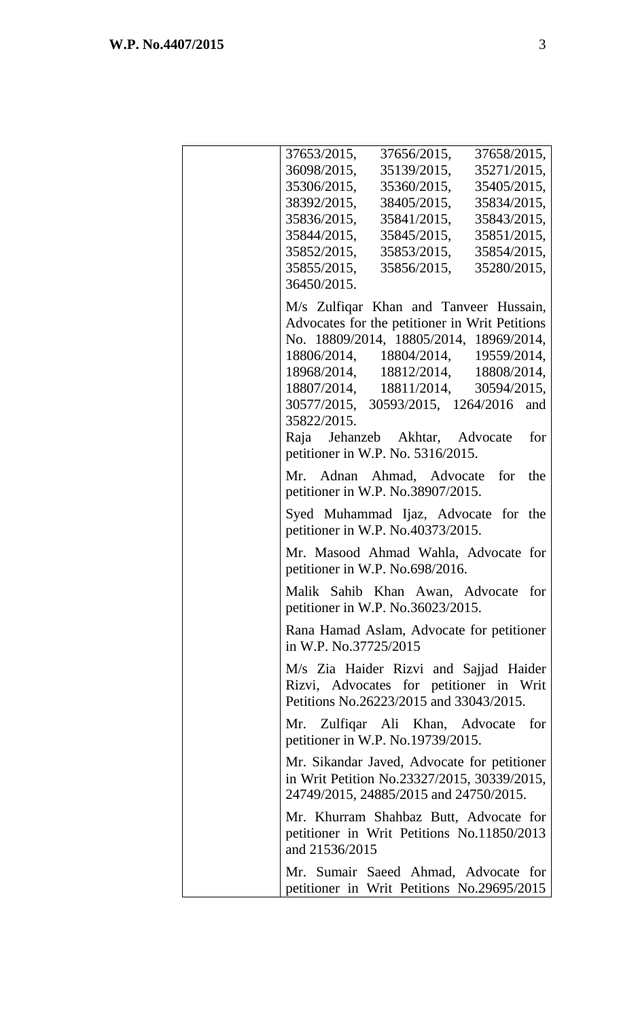| 37653/2015, 37656/2015, 37658/2015,                                                                                                  |                                            |  |
|--------------------------------------------------------------------------------------------------------------------------------------|--------------------------------------------|--|
| 36098/2015, 35139/2015, 35271/2015,                                                                                                  |                                            |  |
| 35306/2015, 35360/2015, 35405/2015,                                                                                                  |                                            |  |
| 38392/2015, 38405/2015, 35834/2015,                                                                                                  |                                            |  |
| 35836/2015, 35841/2015, 35843/2015,                                                                                                  |                                            |  |
| 35844/2015, 35845/2015, 35851/2015,                                                                                                  |                                            |  |
| 35852/2015, 35853/2015, 35854/2015,                                                                                                  |                                            |  |
| 35855/2015, 35856/2015, 35280/2015,                                                                                                  |                                            |  |
| 36450/2015.                                                                                                                          |                                            |  |
| M/s Zulfiqar Khan and Tanveer Hussain,                                                                                               |                                            |  |
| Advocates for the petitioner in Writ Petitions                                                                                       |                                            |  |
| No. 18809/2014, 18805/2014, 18969/2014,                                                                                              |                                            |  |
|                                                                                                                                      | 18806/2014, 18804/2014, 19559/2014,        |  |
| $18968/2014, \qquad 18812/2014, \qquad 18808/2014,$                                                                                  |                                            |  |
| 18807/2014, 18811/2014, 30594/2015,                                                                                                  |                                            |  |
| 30577/2015, 30593/2015, 1264/2016 and<br>35822/2015.                                                                                 |                                            |  |
| Raja Jehanzeb Akhtar, Advocate for                                                                                                   |                                            |  |
| petitioner in W.P. No. 5316/2015.                                                                                                    |                                            |  |
| Mr. Adnan Ahmad, Advocate for the<br>petitioner in W.P. No.38907/2015.                                                               |                                            |  |
| Syed Muhammad Ijaz, Advocate for the<br>petitioner in W.P. No.40373/2015.                                                            |                                            |  |
| Mr. Masood Ahmad Wahla, Advocate for<br>petitioner in W.P. No.698/2016.                                                              |                                            |  |
| Malik Sahib Khan Awan, Advocate for<br>petitioner in W.P. No.36023/2015.                                                             |                                            |  |
| Rana Hamad Aslam, Advocate for petitioner<br>in W.P. No.37725/2015                                                                   |                                            |  |
| M/s Zia Haider Rizvi and Sajjad Haider<br>Rizvi, Advocates for petitioner in Writ<br>Petitions No.26223/2015 and 33043/2015.         |                                            |  |
| Mr. Zulfiqar Ali Khan, Advocate for<br>petitioner in W.P. No.19739/2015.                                                             |                                            |  |
| Mr. Sikandar Javed, Advocate for petitioner<br>in Writ Petition No.23327/2015, 30339/2015,<br>24749/2015, 24885/2015 and 24750/2015. |                                            |  |
| Mr. Khurram Shahbaz Butt, Advocate for<br>petitioner in Writ Petitions No.11850/2013<br>and 21536/2015                               |                                            |  |
| Mr. Sumair Saeed Ahmad, Advocate for                                                                                                 | petitioner in Writ Petitions No.29695/2015 |  |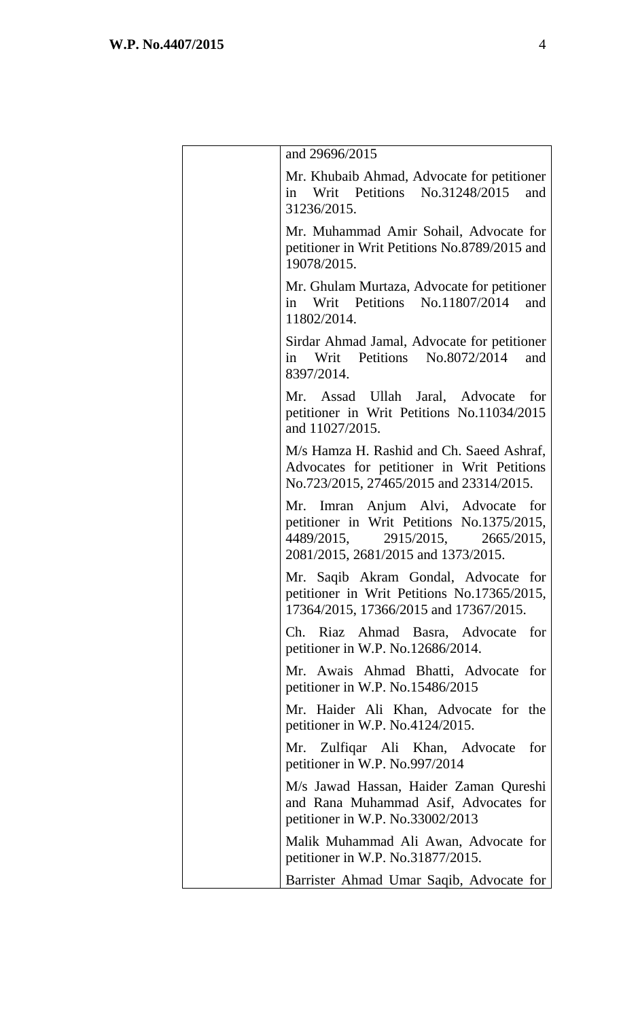| and 29696/2015                                                                                                                                                 |
|----------------------------------------------------------------------------------------------------------------------------------------------------------------|
| Mr. Khubaib Ahmad, Advocate for petitioner<br>in Writ Petitions No.31248/2015 and<br>31236/2015.                                                               |
| Mr. Muhammad Amir Sohail, Advocate for<br>petitioner in Writ Petitions No.8789/2015 and<br>19078/2015.                                                         |
| Mr. Ghulam Murtaza, Advocate for petitioner<br>in Writ Petitions No.11807/2014<br>and<br>11802/2014.                                                           |
| Sirdar Ahmad Jamal, Advocate for petitioner<br>Petitions No.8072/2014<br>Writ<br>and<br>in<br>8397/2014.                                                       |
| Mr. Assad Ullah Jaral, Advocate for<br>petitioner in Writ Petitions No.11034/2015<br>and 11027/2015.                                                           |
| M/s Hamza H. Rashid and Ch. Saeed Ashraf,<br>Advocates for petitioner in Writ Petitions<br>No.723/2015, 27465/2015 and 23314/2015.                             |
| Mr. Imran Anjum Alvi, Advocate for<br>petitioner in Writ Petitions No.1375/2015,<br>4489/2015,<br>2915/2015, 2665/2015,<br>2081/2015, 2681/2015 and 1373/2015. |
| Mr. Saqib Akram Gondal, Advocate for<br>petitioner in Writ Petitions No.17365/2015,<br>17364/2015, 17366/2015 and 17367/2015.                                  |
| Ch. Riaz Ahmad Basra, Advocate for<br>petitioner in W.P. No.12686/2014.                                                                                        |
| Mr. Awais Ahmad Bhatti, Advocate for<br>petitioner in W.P. No.15486/2015                                                                                       |
| Mr. Haider Ali Khan, Advocate for the<br>petitioner in W.P. No.4124/2015.                                                                                      |
| Mr. Zulfiqar Ali Khan, Advocate for<br>petitioner in W.P. No.997/2014                                                                                          |
| M/s Jawad Hassan, Haider Zaman Qureshi<br>and Rana Muhammad Asif, Advocates for<br>petitioner in W.P. No.33002/2013                                            |
| Malik Muhammad Ali Awan, Advocate for<br>petitioner in W.P. No.31877/2015.                                                                                     |
| Barrister Ahmad Umar Saqib, Advocate for                                                                                                                       |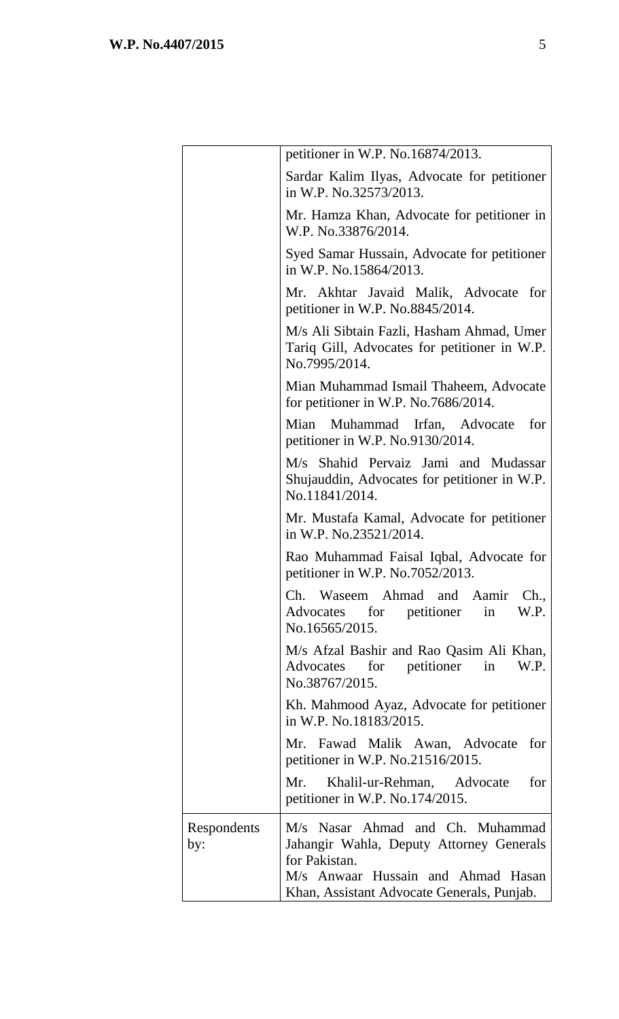|                    | petitioner in W.P. No.16874/2013.                                                                          |
|--------------------|------------------------------------------------------------------------------------------------------------|
|                    | Sardar Kalim Ilyas, Advocate for petitioner<br>in W.P. No.32573/2013.                                      |
|                    | Mr. Hamza Khan, Advocate for petitioner in<br>W.P. No.33876/2014.                                          |
|                    | Syed Samar Hussain, Advocate for petitioner<br>in W.P. No.15864/2013.                                      |
|                    | Mr. Akhtar Javaid Malik, Advocate for<br>petitioner in W.P. No.8845/2014.                                  |
|                    | M/s Ali Sibtain Fazli, Hasham Ahmad, Umer<br>Tariq Gill, Advocates for petitioner in W.P.<br>No.7995/2014. |
|                    | Mian Muhammad Ismail Thaheem, Advocate<br>for petitioner in W.P. No.7686/2014.                             |
|                    | Mian Muhammad Irfan, Advocate for<br>petitioner in W.P. No.9130/2014.                                      |
|                    | M/s Shahid Pervaiz Jami and Mudassar<br>Shujauddin, Advocates for petitioner in W.P.<br>No.11841/2014.     |
|                    | Mr. Mustafa Kamal, Advocate for petitioner<br>in W.P. No.23521/2014.                                       |
|                    | Rao Muhammad Faisal Iqbal, Advocate for<br>petitioner in W.P. No.7052/2013.                                |
|                    | Ch. Waseem Ahmad and Aamir Ch.,<br>Advocates for petitioner<br>W.P.<br>in<br>No.16565/2015.                |
|                    | M/s Afzal Bashir and Rao Qasim Ali Khan,<br>for petitioner in<br>W.P.<br>Advocates<br>No.38767/2015.       |
|                    | Kh. Mahmood Ayaz, Advocate for petitioner<br>in W.P. No.18183/2015.                                        |
|                    | Mr. Fawad Malik Awan, Advocate for<br>petitioner in W.P. No.21516/2015.                                    |
|                    | Mr. Khalil-ur-Rehman, Advocate<br>for<br>petitioner in W.P. No.174/2015.                                   |
| Respondents<br>by: | M/s Nasar Ahmad and Ch. Muhammad<br>Jahangir Wahla, Deputy Attorney Generals<br>for Pakistan.              |
|                    | M/s Anwaar Hussain and Ahmad Hasan<br>Khan, Assistant Advocate Generals, Punjab.                           |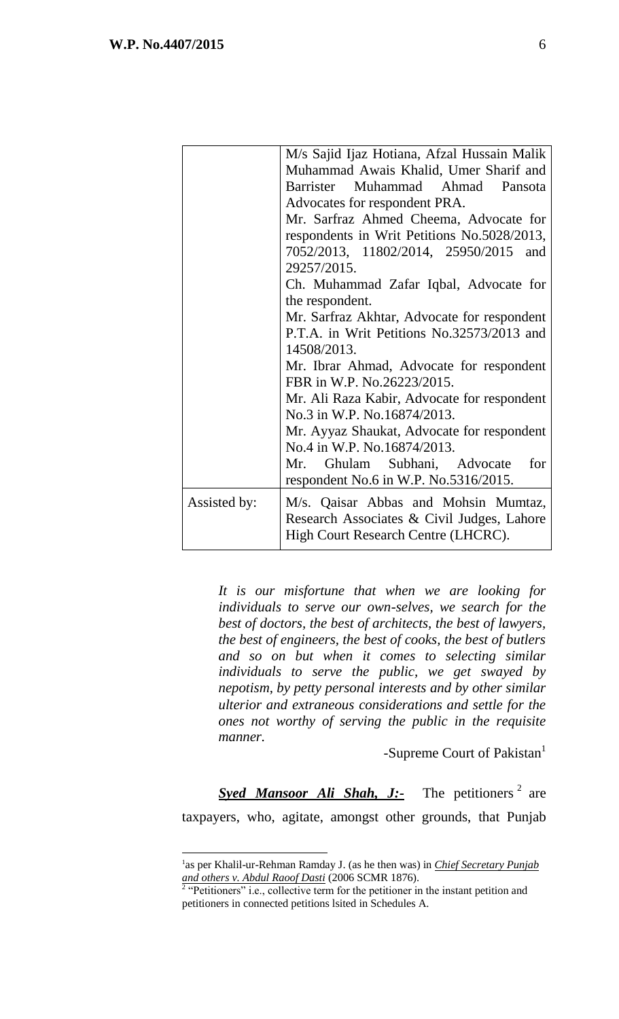$\overline{a}$ 

|              | M/s Sajid Ijaz Hotiana, Afzal Hussain Malik                                                                               |  |  |
|--------------|---------------------------------------------------------------------------------------------------------------------------|--|--|
|              | Muhammad Awais Khalid, Umer Sharif and                                                                                    |  |  |
|              | Barrister Muhammad Ahmad Pansota                                                                                          |  |  |
|              | Advocates for respondent PRA.                                                                                             |  |  |
|              | Mr. Sarfraz Ahmed Cheema, Advocate for                                                                                    |  |  |
|              | respondents in Writ Petitions No.5028/2013,                                                                               |  |  |
|              | 7052/2013, 11802/2014, 25950/2015 and                                                                                     |  |  |
|              | 29257/2015.                                                                                                               |  |  |
|              | Ch. Muhammad Zafar Iqbal, Advocate for                                                                                    |  |  |
|              | the respondent.                                                                                                           |  |  |
|              | Mr. Sarfraz Akhtar, Advocate for respondent                                                                               |  |  |
|              | P.T.A. in Writ Petitions No.32573/2013 and                                                                                |  |  |
|              | 14508/2013.                                                                                                               |  |  |
|              | Mr. Ibrar Ahmad, Advocate for respondent                                                                                  |  |  |
|              | FBR in W.P. No.26223/2015.                                                                                                |  |  |
|              | Mr. Ali Raza Kabir, Advocate for respondent                                                                               |  |  |
|              | No.3 in W.P. No.16874/2013.                                                                                               |  |  |
|              | Mr. Ayyaz Shaukat, Advocate for respondent                                                                                |  |  |
|              | No.4 in W.P. No.16874/2013.                                                                                               |  |  |
|              | Mr. Ghulam Subhani, Advocate for                                                                                          |  |  |
|              | respondent No.6 in W.P. No.5316/2015.                                                                                     |  |  |
| Assisted by: | M/s. Qaisar Abbas and Mohsin Mumtaz,<br>Research Associates & Civil Judges, Lahore<br>High Court Research Centre (LHCRC). |  |  |
|              |                                                                                                                           |  |  |

*It is our misfortune that when we are looking for individuals to serve our own-selves, we search for the best of doctors, the best of architects, the best of lawyers, the best of engineers, the best of cooks, the best of butlers and so on but when it comes to selecting similar individuals to serve the public, we get swayed by nepotism, by petty personal interests and by other similar ulterior and extraneous considerations and settle for the ones not worthy of serving the public in the requisite manner.* 

-Supreme Court of Pakistan<sup>1</sup>

Syed Mansoor Ali Shah, J:- The petitioners<sup>2</sup> are taxpayers, who, agitate, amongst other grounds, that Punjab

<sup>&</sup>lt;sup>1</sup>as per Khalil-ur-Rehman Ramday J. (as he then was) in *Chief Secretary Punjab and others v. Abdul Raoof Dasti* (2006 SCMR 1876). 2

<sup>&</sup>quot;Petitioners" i.e., collective term for the petitioner in the instant petition and petitioners in connected petitions lsited in Schedules A.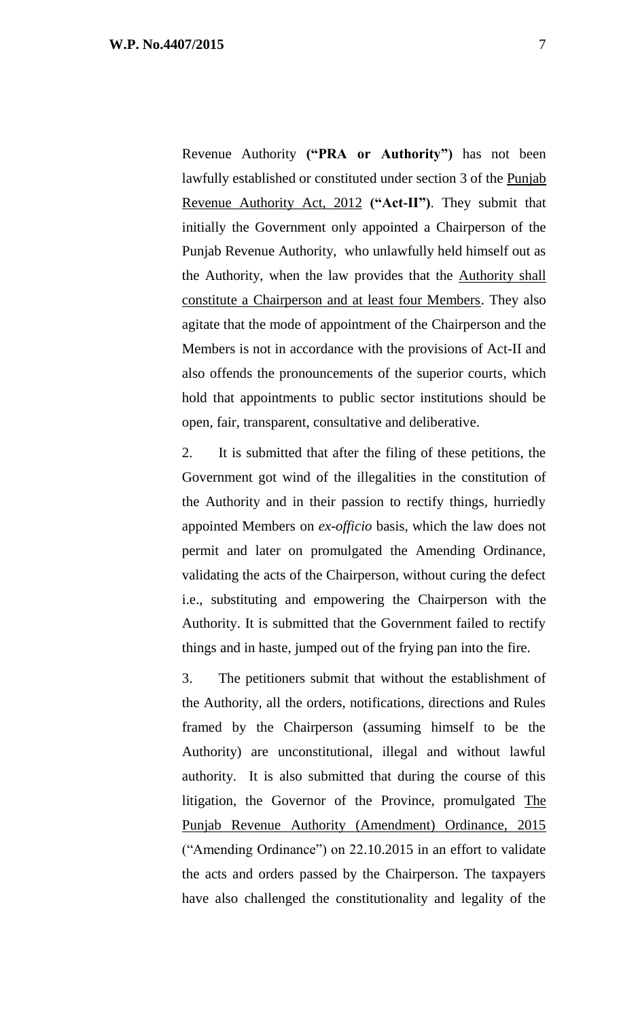Revenue Authority **("PRA or Authority")** has not been lawfully established or constituted under section 3 of the Punjab Revenue Authority Act, 2012 **("Act-II")**. They submit that initially the Government only appointed a Chairperson of the Punjab Revenue Authority, who unlawfully held himself out as the Authority, when the law provides that the Authority shall constitute a Chairperson and at least four Members. They also agitate that the mode of appointment of the Chairperson and the Members is not in accordance with the provisions of Act-II and also offends the pronouncements of the superior courts, which hold that appointments to public sector institutions should be open, fair, transparent, consultative and deliberative.

2. It is submitted that after the filing of these petitions, the Government got wind of the illegalities in the constitution of the Authority and in their passion to rectify things, hurriedly appointed Members on *ex-officio* basis, which the law does not permit and later on promulgated the Amending Ordinance, validating the acts of the Chairperson, without curing the defect i.e., substituting and empowering the Chairperson with the Authority. It is submitted that the Government failed to rectify things and in haste, jumped out of the frying pan into the fire.

3. The petitioners submit that without the establishment of the Authority, all the orders, notifications, directions and Rules framed by the Chairperson (assuming himself to be the Authority) are unconstitutional, illegal and without lawful authority. It is also submitted that during the course of this litigation, the Governor of the Province, promulgated The Punjab Revenue Authority (Amendment) Ordinance, 2015 ("Amending Ordinance") on 22.10.2015 in an effort to validate the acts and orders passed by the Chairperson. The taxpayers have also challenged the constitutionality and legality of the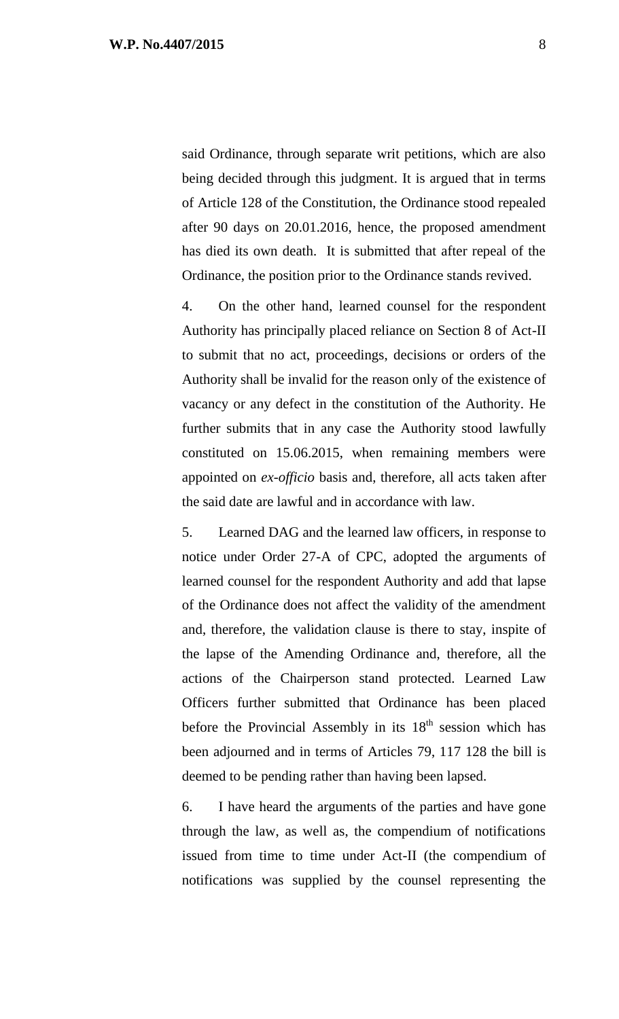said Ordinance, through separate writ petitions, which are also being decided through this judgment. It is argued that in terms of Article 128 of the Constitution, the Ordinance stood repealed after 90 days on 20.01.2016, hence, the proposed amendment has died its own death. It is submitted that after repeal of the Ordinance, the position prior to the Ordinance stands revived.

4. On the other hand, learned counsel for the respondent Authority has principally placed reliance on Section 8 of Act-II to submit that no act, proceedings, decisions or orders of the Authority shall be invalid for the reason only of the existence of vacancy or any defect in the constitution of the Authority. He further submits that in any case the Authority stood lawfully constituted on 15.06.2015, when remaining members were appointed on *ex-officio* basis and, therefore, all acts taken after the said date are lawful and in accordance with law.

5. Learned DAG and the learned law officers, in response to notice under Order 27-A of CPC, adopted the arguments of learned counsel for the respondent Authority and add that lapse of the Ordinance does not affect the validity of the amendment and, therefore, the validation clause is there to stay, inspite of the lapse of the Amending Ordinance and, therefore, all the actions of the Chairperson stand protected. Learned Law Officers further submitted that Ordinance has been placed before the Provincial Assembly in its  $18<sup>th</sup>$  session which has been adjourned and in terms of Articles 79, 117 128 the bill is deemed to be pending rather than having been lapsed.

6. I have heard the arguments of the parties and have gone through the law, as well as, the compendium of notifications issued from time to time under Act-II (the compendium of notifications was supplied by the counsel representing the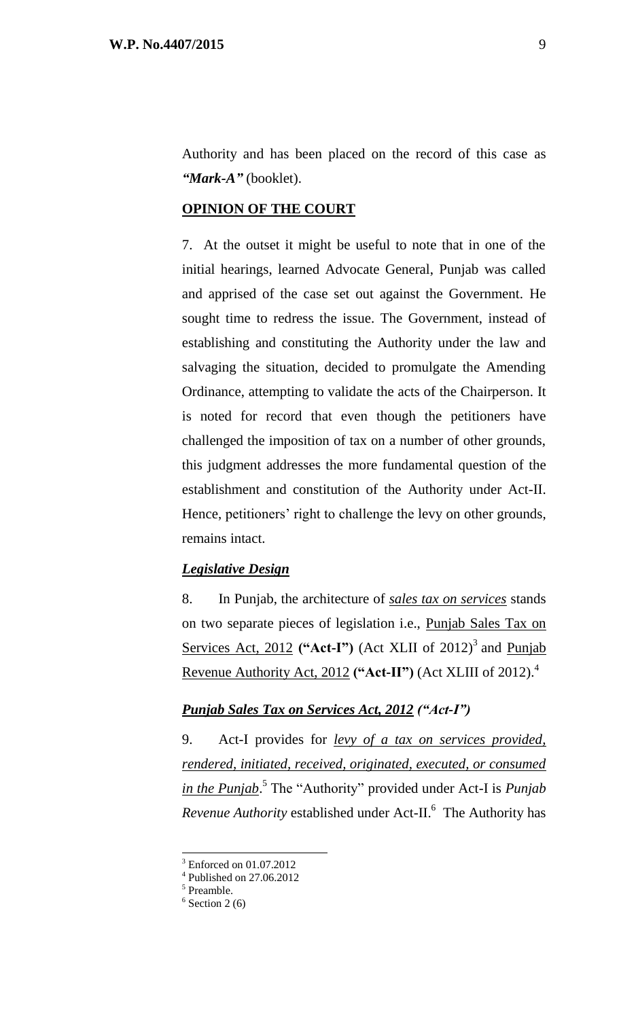Authority and has been placed on the record of this case as *"Mark-A"* (booklet).

### **OPINION OF THE COURT**

7. At the outset it might be useful to note that in one of the initial hearings, learned Advocate General, Punjab was called and apprised of the case set out against the Government. He sought time to redress the issue. The Government, instead of establishing and constituting the Authority under the law and salvaging the situation, decided to promulgate the Amending Ordinance, attempting to validate the acts of the Chairperson. It is noted for record that even though the petitioners have challenged the imposition of tax on a number of other grounds, this judgment addresses the more fundamental question of the establishment and constitution of the Authority under Act-II. Hence, petitioners' right to challenge the levy on other grounds, remains intact.

### *Legislative Design*

8. In Punjab, the architecture of *sales tax on services* stands on two separate pieces of legislation i.e., Punjab Sales Tax on Services Act, 2012 ("Act-I") (Act XLII of 2012)<sup>3</sup> and Punjab Revenue Authority Act, 2012 **("Act-II")** (Act XLIII of 2012). 4

### *Punjab Sales Tax on Services Act, 2012 ("Act-I")*

9. Act-I provides for *levy of a tax on services provided, rendered, initiated, received, originated, executed, or consumed in the Punjab*. 5 The "Authority" provided under Act-I is *Punjab*  Revenue Authority established under Act-II.<sup>6</sup> The Authority has

<sup>3</sup> Enforced on 01.07.2012

<sup>4</sup> Published on 27.06.2012

<sup>5</sup> Preamble.

 $6$  Section 2 (6)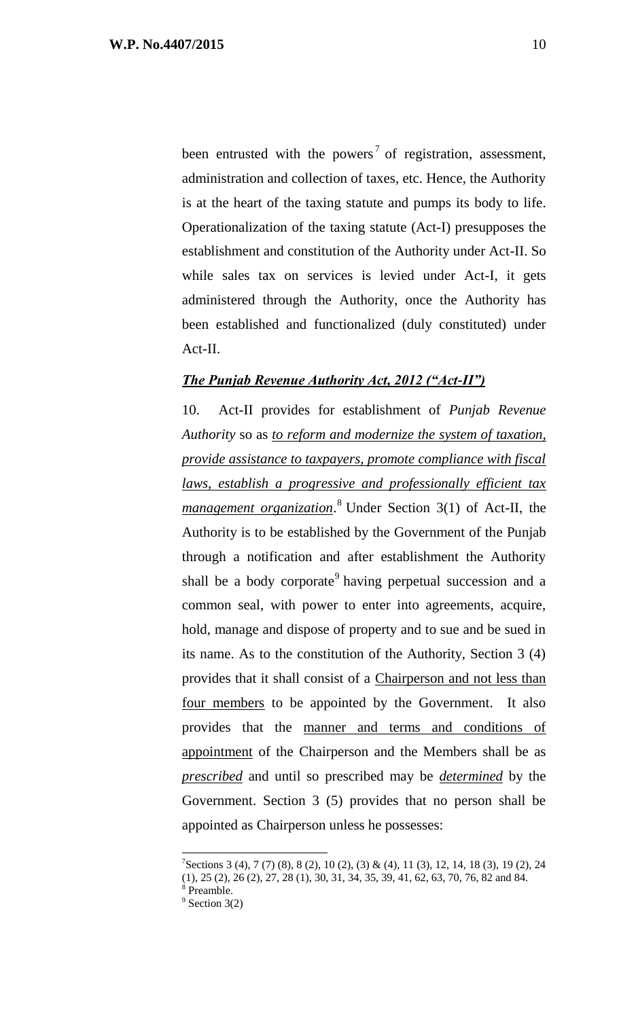been entrusted with the powers<sup>7</sup> of registration, assessment, administration and collection of taxes, etc. Hence, the Authority is at the heart of the taxing statute and pumps its body to life. Operationalization of the taxing statute (Act-I) presupposes the establishment and constitution of the Authority under Act-II. So while sales tax on services is levied under Act-I, it gets administered through the Authority, once the Authority has been established and functionalized (duly constituted) under Act-II.

## *The Punjab Revenue Authority Act, 2012 ("Act-II")*

10. Act-II provides for establishment of *Punjab Revenue Authority* so as *to reform and modernize the system of taxation, provide assistance to taxpayers, promote compliance with fiscal laws, establish a progressive and professionally efficient tax management organization*. <sup>8</sup> Under Section 3(1) of Act-II, the Authority is to be established by the Government of the Punjab through a notification and after establishment the Authority shall be a body corporate<sup>9</sup> having perpetual succession and a common seal, with power to enter into agreements, acquire, hold, manage and dispose of property and to sue and be sued in its name. As to the constitution of the Authority, Section 3 (4) provides that it shall consist of a Chairperson and not less than four members to be appointed by the Government. It also provides that the manner and terms and conditions of appointment of the Chairperson and the Members shall be as *prescribed* and until so prescribed may be *determined* by the Government. Section 3 (5) provides that no person shall be appointed as Chairperson unless he possesses:

 $7$ Sections 3 (4), 7 (7) (8), 8 (2), 10 (2), (3) & (4), 11 (3), 12, 14, 18 (3), 19 (2), 24  $(1)$ ,  $25$   $(2)$ ,  $26$   $(2)$ ,  $27$ ,  $28$   $(1)$ ,  $30$ ,  $31$ ,  $34$ ,  $35$ ,  $39$ ,  $41$ ,  $62$ ,  $63$ ,  $70$ ,  $76$ ,  $82$  and  $84$ .

Preamble.  $9$  Section 3(2)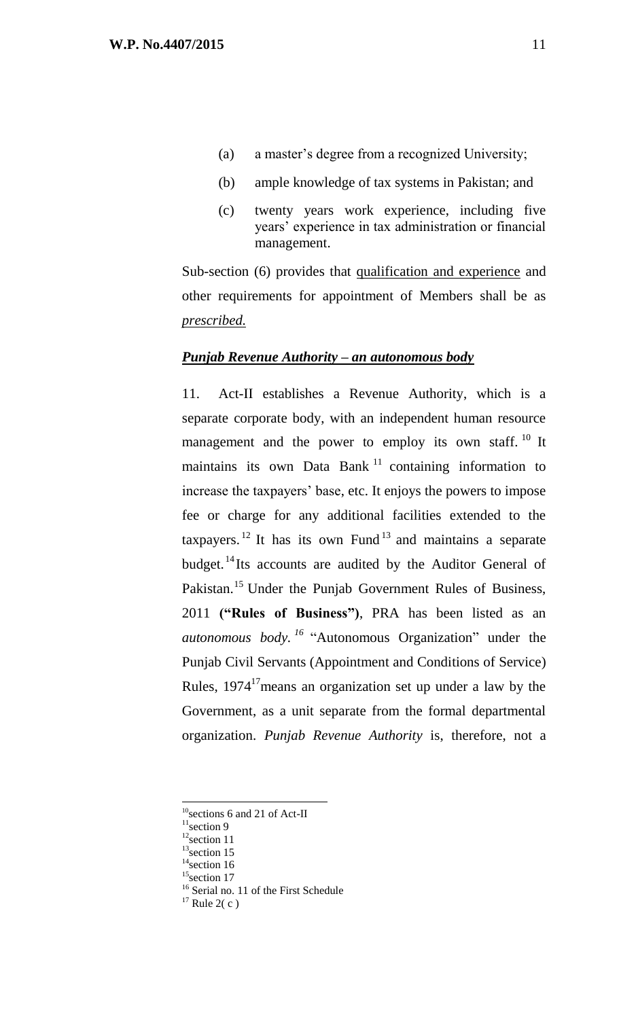- (a) a master's degree from a recognized University;
- (b) ample knowledge of tax systems in Pakistan; and
- (c) twenty years work experience, including five years' experience in tax administration or financial management.

Sub-section (6) provides that qualification and experience and other requirements for appointment of Members shall be as *prescribed.*

#### *Punjab Revenue Authority – an autonomous body*

11. Act-II establishes a Revenue Authority, which is a separate corporate body, with an independent human resource management and the power to employ its own staff.  $10$  It maintains its own Data Bank<sup>11</sup> containing information to increase the taxpayers' base, etc. It enjoys the powers to impose fee or charge for any additional facilities extended to the taxpayers. <sup>12</sup> It has its own Fund<sup>13</sup> and maintains a separate budget.<sup>14</sup>Its accounts are audited by the Auditor General of Pakistan.<sup>15</sup> Under the Punjab Government Rules of Business, 2011 **("Rules of Business")**, PRA has been listed as an *autonomous body. <sup>16</sup>* "Autonomous Organization" under the Punjab Civil Servants (Appointment and Conditions of Service) Rules,  $1974<sup>17</sup>$  means an organization set up under a law by the Government, as a unit separate from the formal departmental organization. *Punjab Revenue Authority* is, therefore, not a

<sup>&</sup>lt;sup>10</sup>sections 6 and 21 of Act-II

 $11$ section 9

 $12$ section 11

 $13$ section 15

 $14$ section 16

 $15$ section 17

<sup>&</sup>lt;sup>16</sup> Serial no. 11 of the First Schedule

 $17$  Rule 2(c)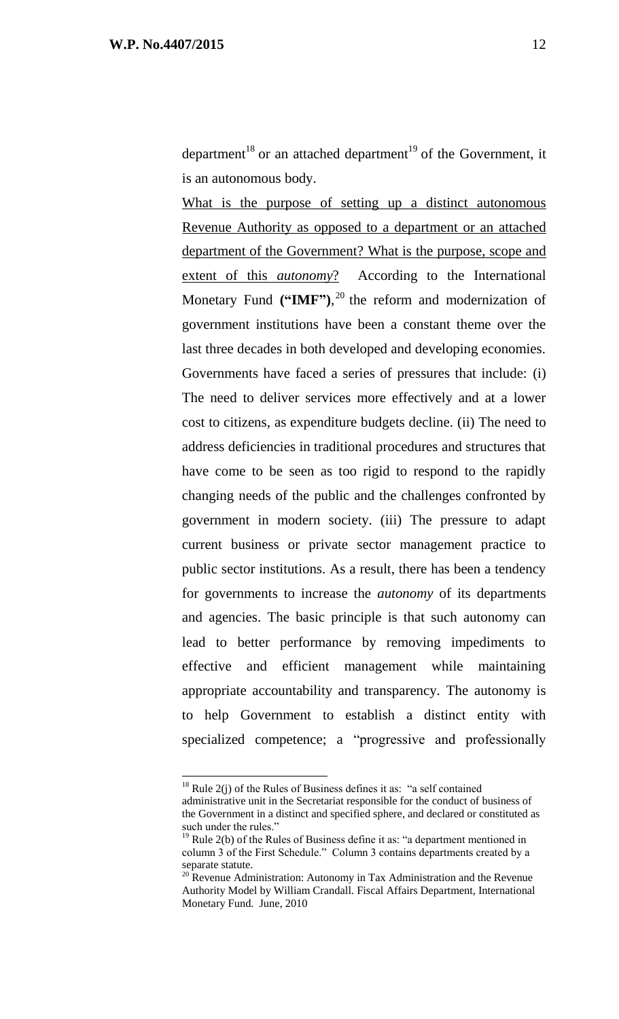department<sup>18</sup> or an attached department<sup>19</sup> of the Government, it is an autonomous body.

What is the purpose of setting up a distinct autonomous Revenue Authority as opposed to a department or an attached department of the Government? What is the purpose, scope and extent of this *autonomy*? According to the International Monetary Fund **("IMF")**, <sup>20</sup> the reform and modernization of government institutions have been a constant theme over the last three decades in both developed and developing economies. Governments have faced a series of pressures that include: (i) The need to deliver services more effectively and at a lower cost to citizens, as expenditure budgets decline. (ii) The need to address deficiencies in traditional procedures and structures that have come to be seen as too rigid to respond to the rapidly changing needs of the public and the challenges confronted by government in modern society. (iii) The pressure to adapt current business or private sector management practice to public sector institutions. As a result, there has been a tendency for governments to increase the *autonomy* of its departments and agencies. The basic principle is that such autonomy can lead to better performance by removing impediments to effective and efficient management while maintaining appropriate accountability and transparency. The autonomy is to help Government to establish a distinct entity with specialized competence; a "progressive and professionally

<sup>&</sup>lt;sup>18</sup> Rule 2(j) of the Rules of Business defines it as: "a self contained

administrative unit in the Secretariat responsible for the conduct of business of the Government in a distinct and specified sphere, and declared or constituted as such under the rules."

 $19$  Rule 2(b) of the Rules of Business define it as: "a department mentioned in column 3 of the First Schedule." Column 3 contains departments created by a separate statute.

 $^{20}$  Revenue Administration: Autonomy in Tax Administration and the Revenue Authority Model by William Crandall. Fiscal Affairs Department, International Monetary Fund. June, 2010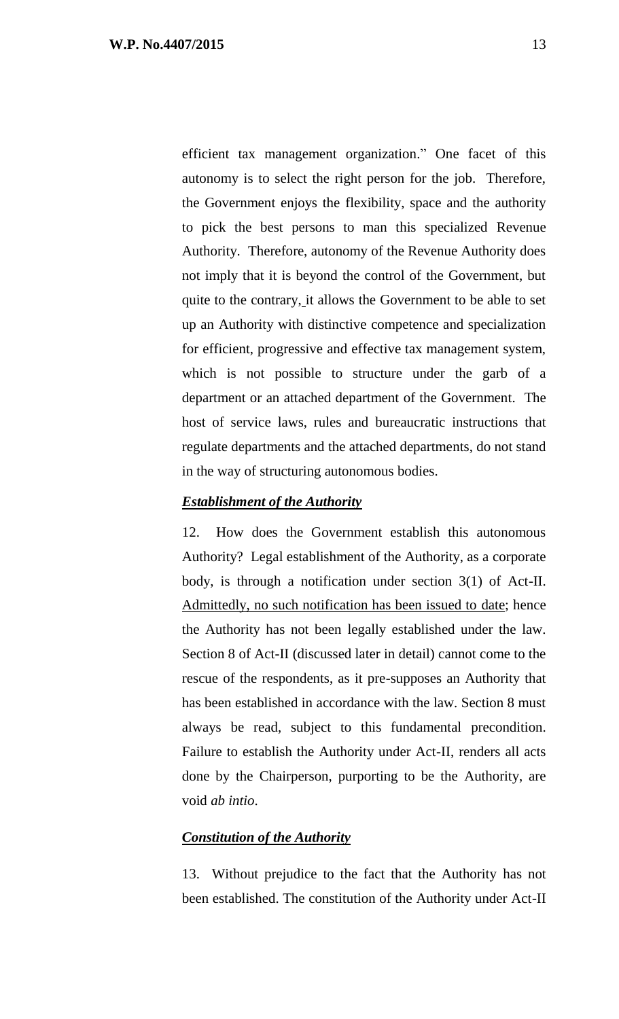efficient tax management organization." One facet of this autonomy is to select the right person for the job. Therefore, the Government enjoys the flexibility, space and the authority to pick the best persons to man this specialized Revenue Authority. Therefore, autonomy of the Revenue Authority does not imply that it is beyond the control of the Government, but quite to the contrary, it allows the Government to be able to set up an Authority with distinctive competence and specialization for efficient, progressive and effective tax management system, which is not possible to structure under the garb of a department or an attached department of the Government. The host of service laws, rules and bureaucratic instructions that regulate departments and the attached departments, do not stand in the way of structuring autonomous bodies.

### *Establishment of the Authority*

12. How does the Government establish this autonomous Authority? Legal establishment of the Authority, as a corporate body, is through a notification under section 3(1) of Act-II. Admittedly, no such notification has been issued to date; hence the Authority has not been legally established under the law. Section 8 of Act-II (discussed later in detail) cannot come to the rescue of the respondents, as it pre-supposes an Authority that has been established in accordance with the law. Section 8 must always be read, subject to this fundamental precondition. Failure to establish the Authority under Act-II, renders all acts done by the Chairperson, purporting to be the Authority, are void *ab intio*.

### *Constitution of the Authority*

13. Without prejudice to the fact that the Authority has not been established. The constitution of the Authority under Act-II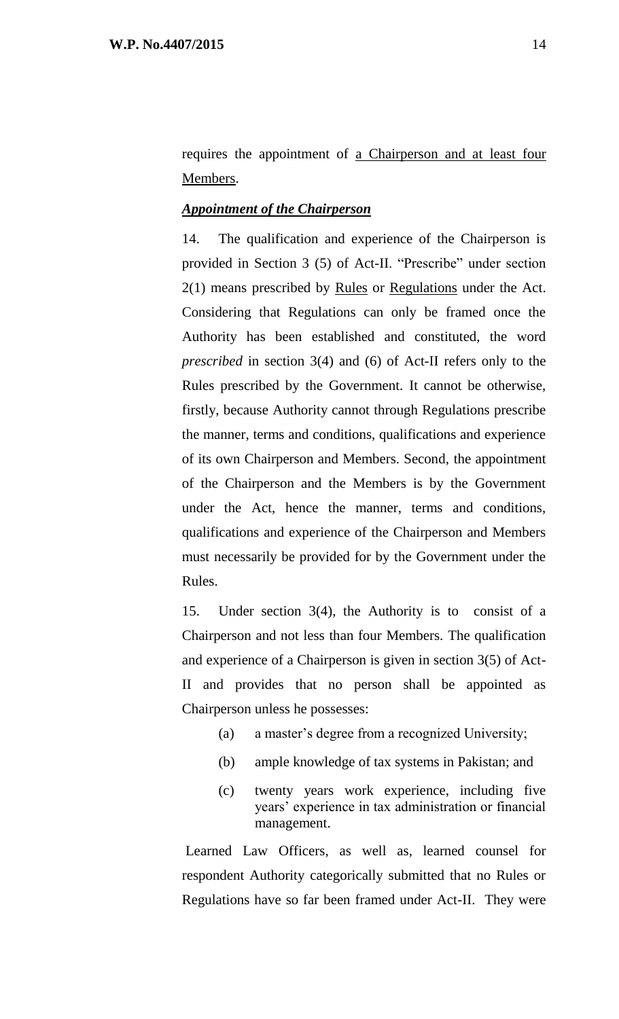requires the appointment of a Chairperson and at least four Members.

### *Appointment of the Chairperson*

14. The qualification and experience of the Chairperson is provided in Section 3 (5) of Act-II. "Prescribe" under section 2(1) means prescribed by Rules or Regulations under the Act. Considering that Regulations can only be framed once the Authority has been established and constituted, the word *prescribed* in section 3(4) and (6) of Act-II refers only to the Rules prescribed by the Government. It cannot be otherwise, firstly, because Authority cannot through Regulations prescribe the manner, terms and conditions, qualifications and experience of its own Chairperson and Members. Second, the appointment of the Chairperson and the Members is by the Government under the Act, hence the manner, terms and conditions, qualifications and experience of the Chairperson and Members must necessarily be provided for by the Government under the Rules.

15. Under section 3(4), the Authority is to consist of a Chairperson and not less than four Members. The qualification and experience of a Chairperson is given in section 3(5) of Act-II and provides that no person shall be appointed as Chairperson unless he possesses:

- (a) a master's degree from a recognized University;
- (b) ample knowledge of tax systems in Pakistan; and
- (c) twenty years work experience, including five years' experience in tax administration or financial management.

Learned Law Officers, as well as, learned counsel for respondent Authority categorically submitted that no Rules or Regulations have so far been framed under Act-II. They were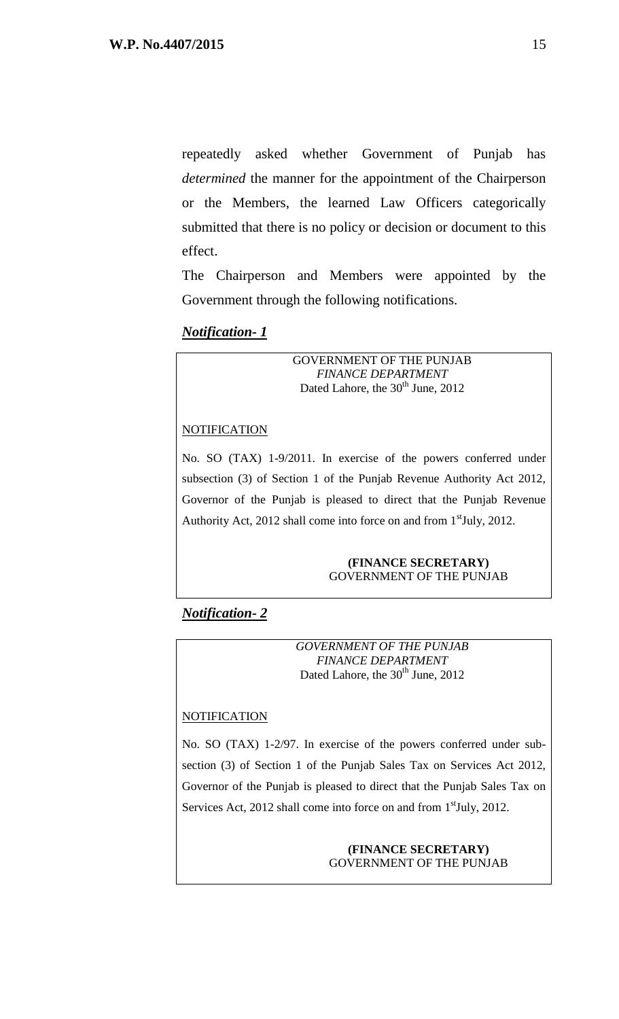repeatedly asked whether Government of Punjab has *determined* the manner for the appointment of the Chairperson or the Members, the learned Law Officers categorically submitted that there is no policy or decision or document to this effect.

The Chairperson and Members were appointed by the Government through the following notifications.

### *Notification- 1*

GOVERNMENT OF THE PUNJAB *FINANCE DEPARTMENT* Dated Lahore, the  $30<sup>th</sup>$  June, 2012

#### **NOTIFICATION**

No. SO (TAX) 1-9/2011. In exercise of the powers conferred under subsection (3) of Section 1 of the Punjab Revenue Authority Act 2012, Governor of the Punjab is pleased to direct that the Punjab Revenue Authority Act, 2012 shall come into force on and from 1<sup>st</sup>July, 2012.

#### **(FINANCE SECRETARY)** GOVERNMENT OF THE PUNJAB

## *Notification- 2*

*GOVERNMENT OF THE PUNJAB FINANCE DEPARTMENT* Dated Lahore, the 30<sup>th</sup> June, 2012

### **NOTIFICATION**

No. SO (TAX) 1-2/97. In exercise of the powers conferred under subsection (3) of Section 1 of the Punjab Sales Tax on Services Act 2012, Governor of the Punjab is pleased to direct that the Punjab Sales Tax on Services Act, 2012 shall come into force on and from 1<sup>st</sup>July, 2012.

#### **(FINANCE SECRETARY)** GOVERNMENT OF THE PUNJAB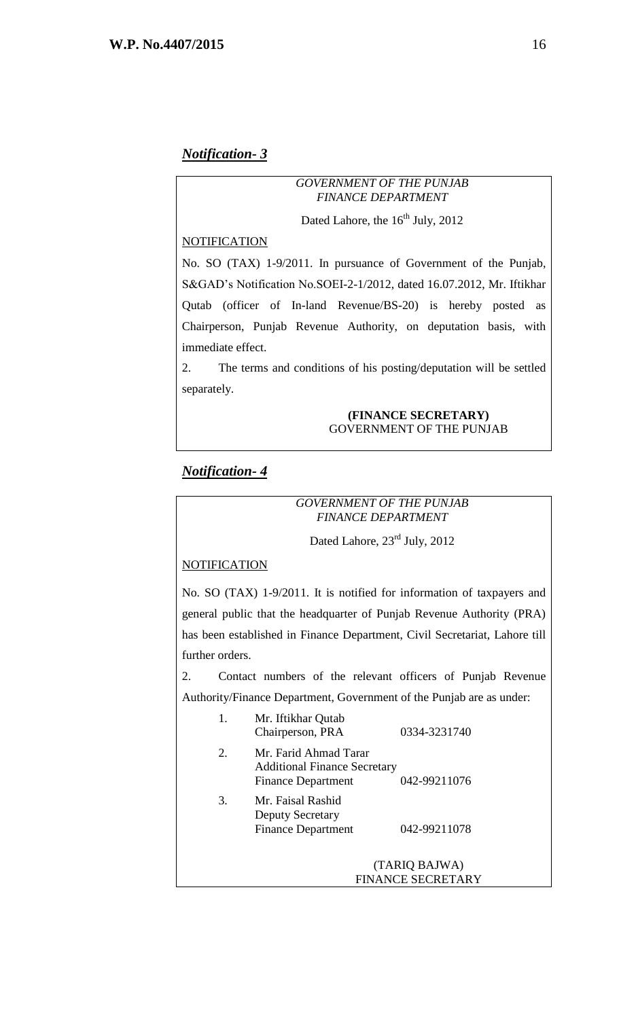#### *GOVERNMENT OF THE PUNJAB FINANCE DEPARTMENT*

Dated Lahore, the  $16<sup>th</sup>$  July, 2012

#### **NOTIFICATION**

No. SO (TAX) 1-9/2011. In pursuance of Government of the Punjab, S&GAD's Notification No.SOEI-2-1/2012, dated 16.07.2012, Mr. Iftikhar Qutab (officer of In-land Revenue/BS-20) is hereby posted as Chairperson, Punjab Revenue Authority, on deputation basis, with immediate effect.

2. The terms and conditions of his posting/deputation will be settled separately.

#### **(FINANCE SECRETARY)** GOVERNMENT OF THE PUNJAB

### *Notification- 4*

#### *GOVERNMENT OF THE PUNJAB FINANCE DEPARTMENT*

### Dated Lahore,  $23<sup>rd</sup>$  July, 2012

#### **NOTIFICATION**

No. SO (TAX) 1-9/2011. It is notified for information of taxpayers and general public that the headquarter of Punjab Revenue Authority (PRA) has been established in Finance Department, Civil Secretariat, Lahore till further orders.

2. Contact numbers of the relevant officers of Punjab Revenue Authority/Finance Department, Government of the Punjab are as under: 1. Mr. Iftikhar Qutab

| ı. | ми. пикнаг Qutav<br>Chairperson, PRA                                                      | 0334-3231740                       |
|----|-------------------------------------------------------------------------------------------|------------------------------------|
| 2. | Mr. Farid Ahmad Tarar<br><b>Additional Finance Secretary</b><br><b>Finance Department</b> | 042-99211076                       |
| 3. | Mr. Faisal Rashid<br><b>Deputy Secretary</b><br><b>Finance Department</b>                 | 042-99211078                       |
|    |                                                                                           | (TARIQ BAJWA)<br>FINANCE SECRETARY |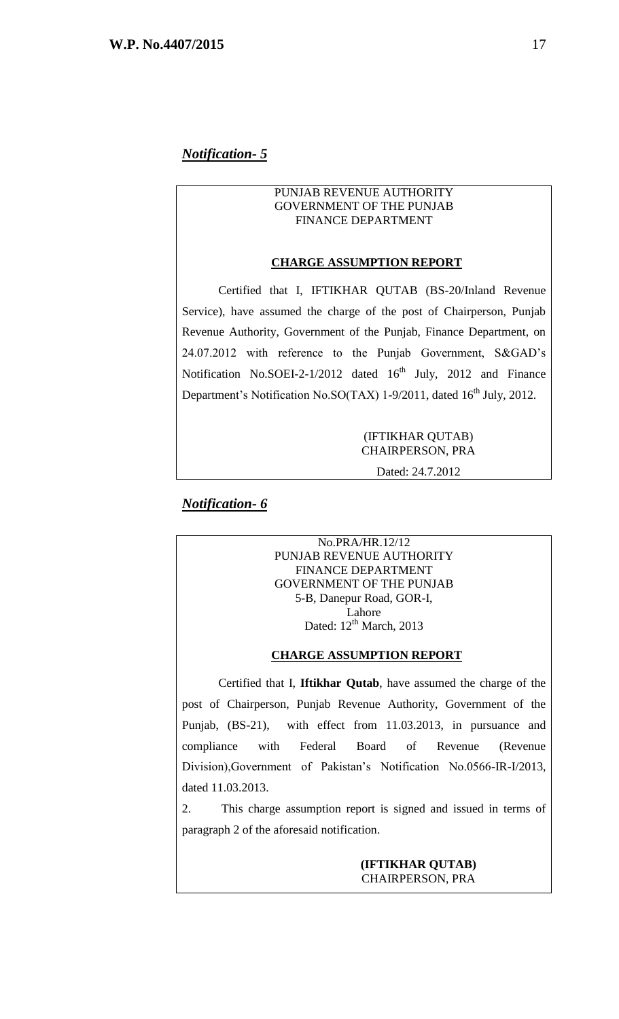#### PUNJAB REVENUE AUTHORITY GOVERNMENT OF THE PUNJAB FINANCE DEPARTMENT

#### **CHARGE ASSUMPTION REPORT**

Certified that I, IFTIKHAR QUTAB (BS-20/Inland Revenue Service), have assumed the charge of the post of Chairperson, Punjab Revenue Authority, Government of the Punjab, Finance Department, on 24.07.2012 with reference to the Punjab Government, S&GAD's Notification No.SOEI-2-1/2012 dated  $16<sup>th</sup>$  July, 2012 and Finance Department's Notification No.SO(TAX) 1-9/2011, dated 16<sup>th</sup> July, 2012.

> (IFTIKHAR QUTAB) CHAIRPERSON, PRA Dated: 24.7.2012

### *Notification- 6*

No.PRA/HR.12/12 PUNJAB REVENUE AUTHORITY FINANCE DEPARTMENT GOVERNMENT OF THE PUNJAB 5-B, Danepur Road, GOR-I, Lahore Dated:  $12^{th}$  March, 2013

#### **CHARGE ASSUMPTION REPORT**

Certified that I, **Iftikhar Qutab**, have assumed the charge of the post of Chairperson, Punjab Revenue Authority, Government of the Punjab, (BS-21), with effect from 11.03.2013, in pursuance and compliance with Federal Board of Revenue (Revenue Division),Government of Pakistan's Notification No.0566-IR-I/2013, dated 11.03.2013.

2. This charge assumption report is signed and issued in terms of paragraph 2 of the aforesaid notification.

#### **(IFTIKHAR QUTAB)** CHAIRPERSON, PRA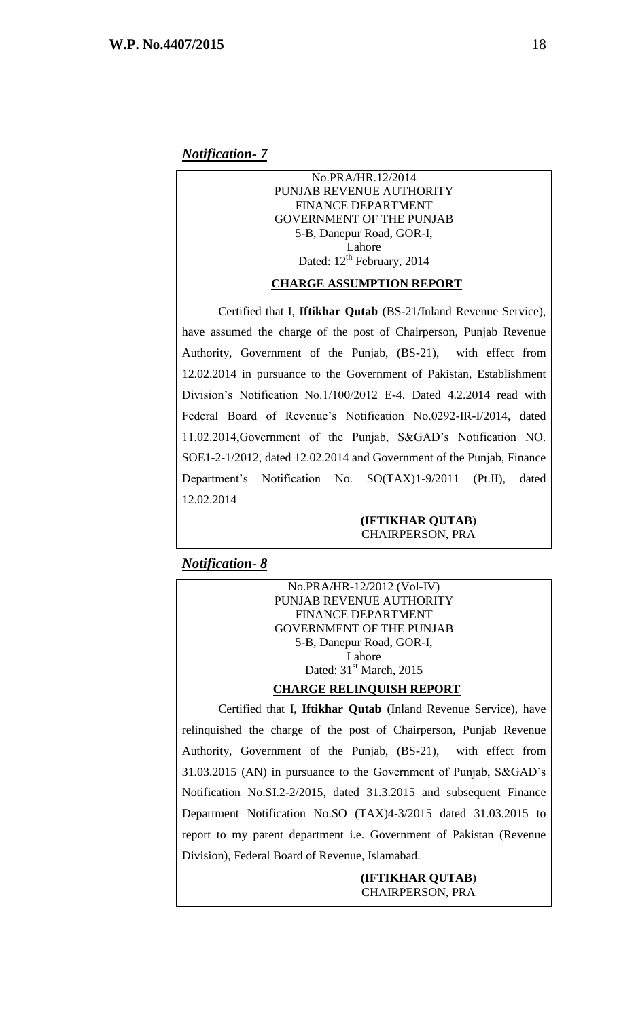No.PRA/HR.12/2014 PUNJAB REVENUE AUTHORITY FINANCE DEPARTMENT GOVERNMENT OF THE PUNJAB 5-B, Danepur Road, GOR-I, Lahore Dated:  $12^{th}$  February, 2014

#### **CHARGE ASSUMPTION REPORT**

Certified that I, **Iftikhar Qutab** (BS-21/Inland Revenue Service), have assumed the charge of the post of Chairperson, Punjab Revenue Authority, Government of the Punjab, (BS-21), with effect from 12.02.2014 in pursuance to the Government of Pakistan, Establishment Division's Notification No.1/100/2012 E-4. Dated 4.2.2014 read with Federal Board of Revenue's Notification No.0292-IR-I/2014, dated 11.02.2014,Government of the Punjab, S&GAD's Notification NO. SOE1-2-1/2012, dated 12.02.2014 and Government of the Punjab, Finance Department's Notification No. SO(TAX)1-9/2011 (Pt.II), dated 12.02.2014

#### **(IFTIKHAR QUTAB**) CHAIRPERSON, PRA

#### *Notification- 8*

No.PRA/HR-12/2012 (Vol-IV) PUNJAB REVENUE AUTHORITY FINANCE DEPARTMENT GOVERNMENT OF THE PUNJAB 5-B, Danepur Road, GOR-I, Lahore Dated: 31<sup>st</sup> March, 2015

#### **CHARGE RELINQUISH REPORT**

Certified that I, **Iftikhar Qutab** (Inland Revenue Service), have relinquished the charge of the post of Chairperson, Punjab Revenue Authority, Government of the Punjab, (BS-21), with effect from 31.03.2015 (AN) in pursuance to the Government of Punjab, S&GAD's Notification No.SI.2-2/2015, dated 31.3.2015 and subsequent Finance Department Notification No.SO (TAX)4-3/2015 dated 31.03.2015 to report to my parent department i.e. Government of Pakistan (Revenue Division), Federal Board of Revenue, Islamabad.

> **(IFTIKHAR QUTAB**) CHAIRPERSON, PRA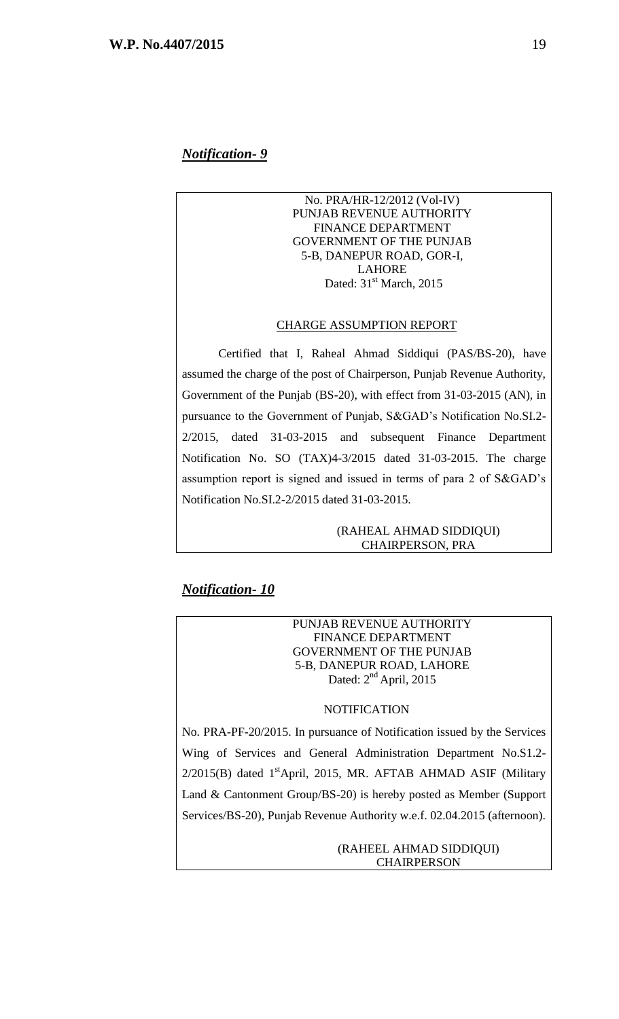#### No. PRA/HR-12/2012 (Vol-IV) PUNJAB REVENUE AUTHORITY FINANCE DEPARTMENT GOVERNMENT OF THE PUNJAB 5-B, DANEPUR ROAD, GOR-I, LAHORE Dated:  $31<sup>st</sup> March$ , 2015

#### CHARGE ASSUMPTION REPORT

Certified that I, Raheal Ahmad Siddiqui (PAS/BS-20), have assumed the charge of the post of Chairperson, Punjab Revenue Authority, Government of the Punjab (BS-20), with effect from 31-03-2015 (AN), in pursuance to the Government of Punjab, S&GAD's Notification No.SI.2- 2/2015, dated 31-03-2015 and subsequent Finance Department Notification No. SO (TAX)4-3/2015 dated 31-03-2015. The charge assumption report is signed and issued in terms of para 2 of S&GAD's Notification No.SI.2-2/2015 dated 31-03-2015.

#### (RAHEAL AHMAD SIDDIQUI) CHAIRPERSON, PRA

### *Notification- 10*

#### PUNJAB REVENUE AUTHORITY FINANCE DEPARTMENT GOVERNMENT OF THE PUNJAB 5-B, DANEPUR ROAD, LAHORE Dated: 2<sup>nd</sup> April, 2015

#### **NOTIFICATION**

No. PRA-PF-20/2015. In pursuance of Notification issued by the Services Wing of Services and General Administration Department No.S1.2-  $2/2015$ (B) dated  $1<sup>st</sup>$ April, 2015, MR. AFTAB AHMAD ASIF (Military Land & Cantonment Group/BS-20) is hereby posted as Member (Support Services/BS-20), Punjab Revenue Authority w.e.f. 02.04.2015 (afternoon).

#### (RAHEEL AHMAD SIDDIQUI) **CHAIRPERSON**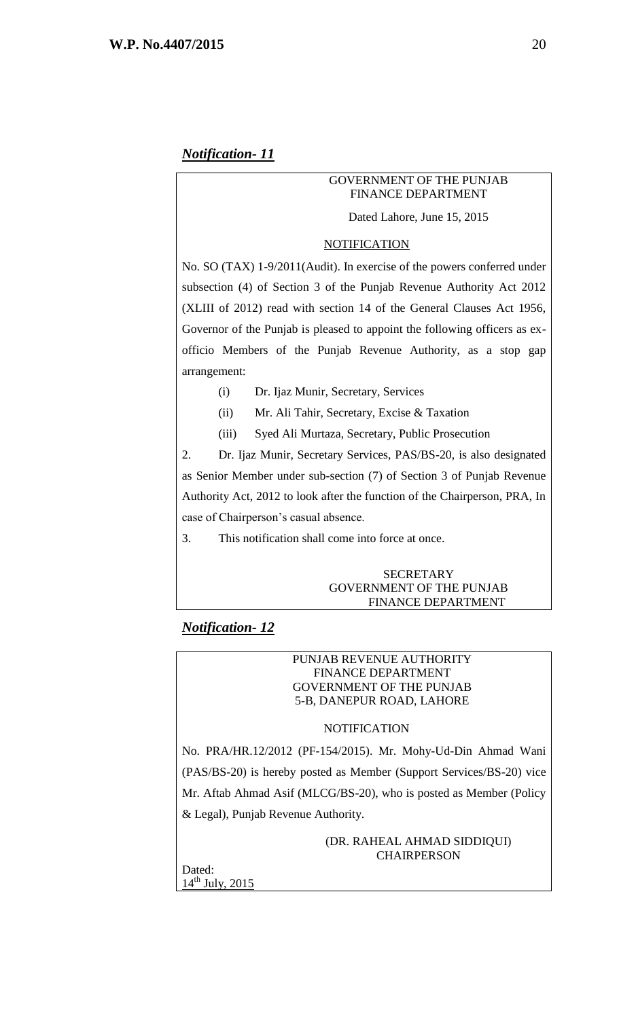#### GOVERNMENT OF THE PUNJAB FINANCE DEPARTMENT

Dated Lahore, June 15, 2015

#### NOTIFICATION

No. SO (TAX) 1-9/2011(Audit). In exercise of the powers conferred under subsection (4) of Section 3 of the Punjab Revenue Authority Act 2012 (XLIII of 2012) read with section 14 of the General Clauses Act 1956, Governor of the Punjab is pleased to appoint the following officers as exofficio Members of the Punjab Revenue Authority, as a stop gap arrangement:

- (i) Dr. Ijaz Munir, Secretary, Services
- (ii) Mr. Ali Tahir, Secretary, Excise & Taxation
- (iii) Syed Ali Murtaza, Secretary, Public Prosecution

2. Dr. Ijaz Munir, Secretary Services, PAS/BS-20, is also designated as Senior Member under sub-section (7) of Section 3 of Punjab Revenue Authority Act, 2012 to look after the function of the Chairperson, PRA, In case of Chairperson's casual absence.

3. This notification shall come into force at once.

#### **SECRETARY** GOVERNMENT OF THE PUNJAB FINANCE DEPARTMENT

### *Notification- 12*

#### PUNJAB REVENUE AUTHORITY FINANCE DEPARTMENT GOVERNMENT OF THE PUNJAB 5-B, DANEPUR ROAD, LAHORE

#### NOTIFICATION

No. PRA/HR.12/2012 (PF-154/2015). Mr. Mohy-Ud-Din Ahmad Wani (PAS/BS-20) is hereby posted as Member (Support Services/BS-20) vice Mr. Aftab Ahmad Asif (MLCG/BS-20), who is posted as Member (Policy & Legal), Punjab Revenue Authority.

> (DR. RAHEAL AHMAD SIDDIQUI) CHAIRPERSON

Dated: 14<sup>th</sup> July, 2015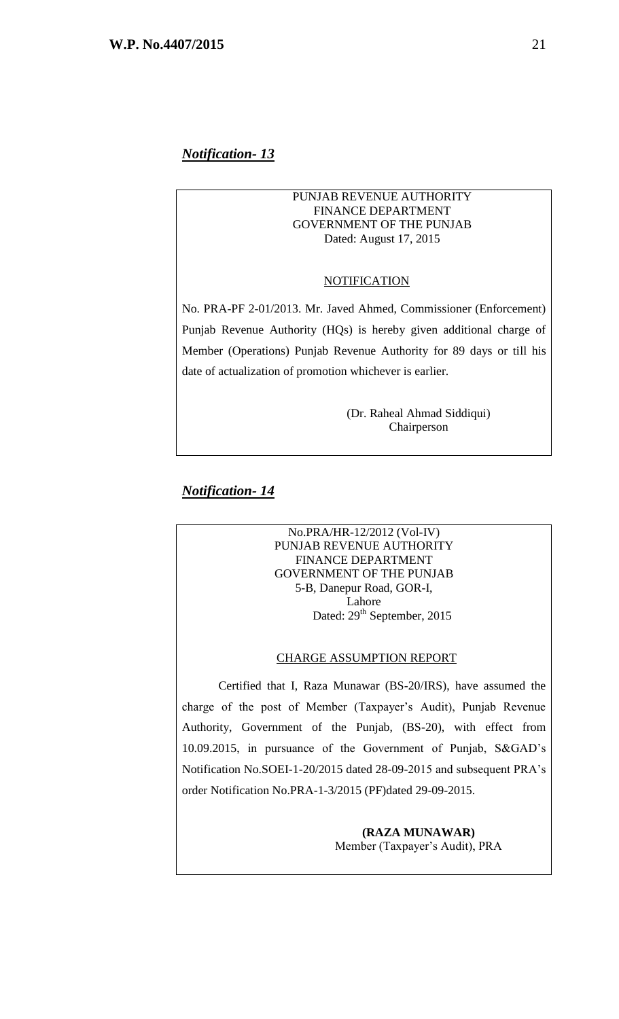#### PUNJAB REVENUE AUTHORITY FINANCE DEPARTMENT GOVERNMENT OF THE PUNJAB Dated: August 17, 2015

#### **NOTIFICATION**

No. PRA-PF 2-01/2013. Mr. Javed Ahmed, Commissioner (Enforcement) Punjab Revenue Authority (HQs) is hereby given additional charge of Member (Operations) Punjab Revenue Authority for 89 days or till his date of actualization of promotion whichever is earlier.

> (Dr. Raheal Ahmad Siddiqui) Chairperson

# *Notification- 14*

No.PRA/HR-12/2012 (Vol-IV) PUNJAB REVENUE AUTHORITY FINANCE DEPARTMENT GOVERNMENT OF THE PUNJAB 5-B, Danepur Road, GOR-I, Lahore Dated: 29<sup>th</sup> September, 2015

#### CHARGE ASSUMPTION REPORT

Certified that I, Raza Munawar (BS-20/IRS), have assumed the charge of the post of Member (Taxpayer's Audit), Punjab Revenue Authority, Government of the Punjab, (BS-20), with effect from 10.09.2015, in pursuance of the Government of Punjab, S&GAD's Notification No.SOEI-1-20/2015 dated 28-09-2015 and subsequent PRA's order Notification No.PRA-1-3/2015 (PF)dated 29-09-2015.

> **(RAZA MUNAWAR)** Member (Taxpayer's Audit), PRA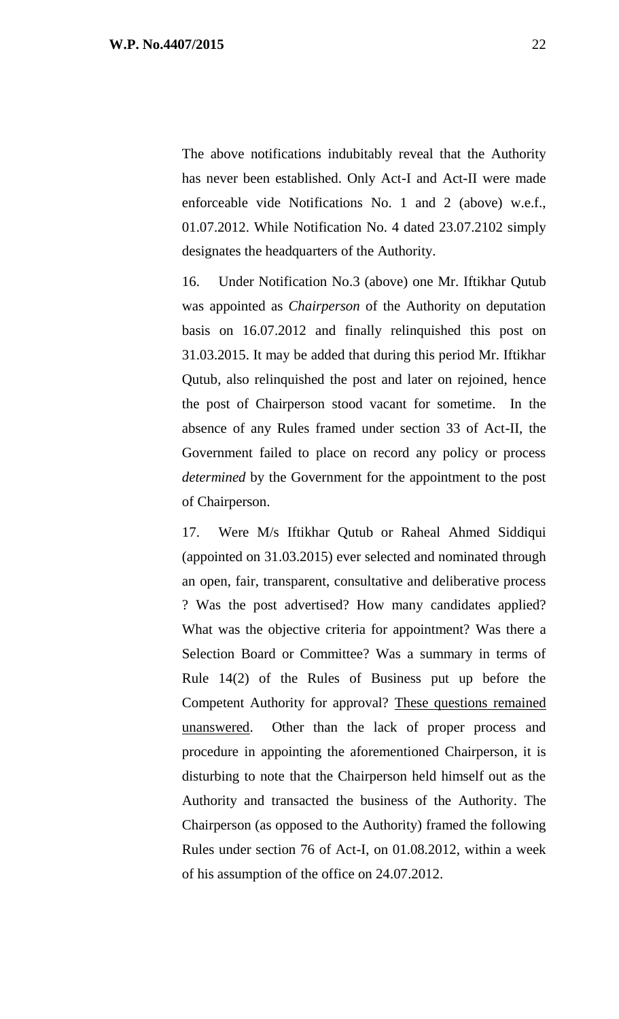The above notifications indubitably reveal that the Authority has never been established. Only Act-I and Act-II were made enforceable vide Notifications No. 1 and 2 (above) w.e.f., 01.07.2012. While Notification No. 4 dated 23.07.2102 simply designates the headquarters of the Authority.

16. Under Notification No.3 (above) one Mr. Iftikhar Qutub was appointed as *Chairperson* of the Authority on deputation basis on 16.07.2012 and finally relinquished this post on 31.03.2015. It may be added that during this period Mr. Iftikhar Qutub, also relinquished the post and later on rejoined, hence the post of Chairperson stood vacant for sometime. In the absence of any Rules framed under section 33 of Act-II, the Government failed to place on record any policy or process *determined* by the Government for the appointment to the post of Chairperson.

17. Were M/s Iftikhar Qutub or Raheal Ahmed Siddiqui (appointed on 31.03.2015) ever selected and nominated through an open, fair, transparent, consultative and deliberative process ? Was the post advertised? How many candidates applied? What was the objective criteria for appointment? Was there a Selection Board or Committee? Was a summary in terms of Rule 14(2) of the Rules of Business put up before the Competent Authority for approval? These questions remained unanswered. Other than the lack of proper process and procedure in appointing the aforementioned Chairperson, it is disturbing to note that the Chairperson held himself out as the Authority and transacted the business of the Authority. The Chairperson (as opposed to the Authority) framed the following Rules under section 76 of Act-I, on 01.08.2012, within a week of his assumption of the office on 24.07.2012.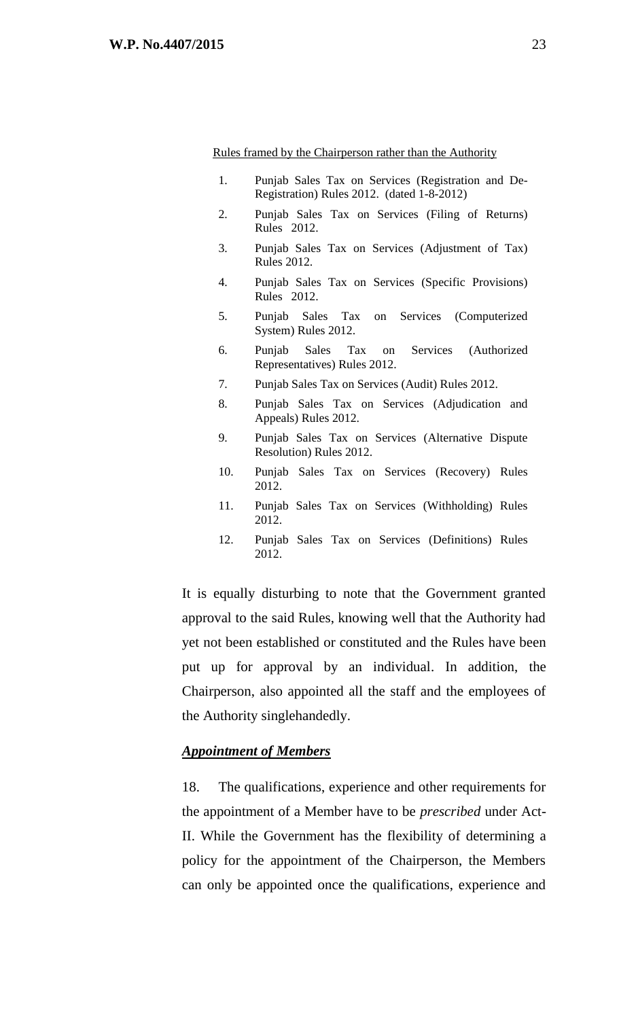Rules framed by the Chairperson rather than the Authority

- 1. Punjab Sales Tax on Services (Registration and De-Registration) Rules 2012. (dated 1-8-2012)
- 2. Punjab Sales Tax on Services (Filing of Returns) Rules 2012.
- 3. Punjab Sales Tax on Services (Adjustment of Tax) Rules 2012.
- 4. Punjab Sales Tax on Services (Specific Provisions) Rules 2012.
- 5. Punjab Sales Tax on Services (Computerized System) Rules 2012.
- 6. Punjab Sales Tax on Services (Authorized Representatives) Rules 2012.
- 7. Punjab Sales Tax on Services (Audit) Rules 2012.
- 8. Punjab Sales Tax on Services (Adjudication and Appeals) Rules 2012.
- 9. Punjab Sales Tax on Services (Alternative Dispute Resolution) Rules 2012.
- 10. Punjab Sales Tax on Services (Recovery) Rules 2012.
- 11. Punjab Sales Tax on Services (Withholding) Rules 2012.
- 12. Punjab Sales Tax on Services (Definitions) Rules 2012.

It is equally disturbing to note that the Government granted approval to the said Rules, knowing well that the Authority had yet not been established or constituted and the Rules have been put up for approval by an individual. In addition, the Chairperson, also appointed all the staff and the employees of the Authority singlehandedly.

#### *Appointment of Members*

18. The qualifications, experience and other requirements for the appointment of a Member have to be *prescribed* under Act-II. While the Government has the flexibility of determining a policy for the appointment of the Chairperson, the Members can only be appointed once the qualifications, experience and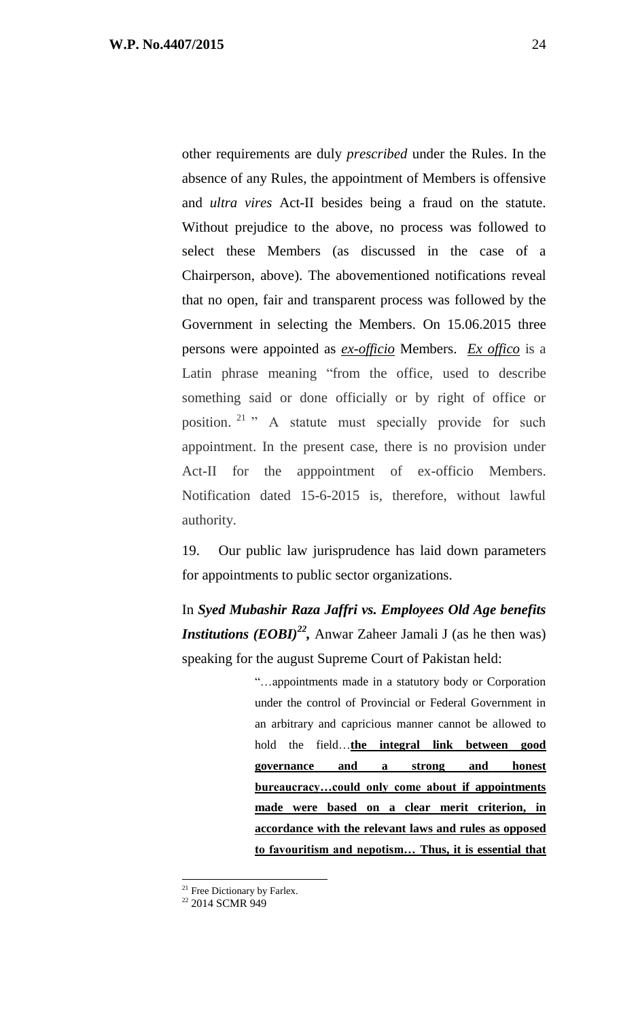other requirements are duly *prescribed* under the Rules. In the absence of any Rules, the appointment of Members is offensive and *ultra vires* Act-II besides being a fraud on the statute. Without prejudice to the above, no process was followed to select these Members (as discussed in the case of a Chairperson, above). The abovementioned notifications reveal that no open, fair and transparent process was followed by the Government in selecting the Members. On 15.06.2015 three persons were appointed as *ex-officio* Members. *Ex offico* is a Latin phrase meaning "from the office, used to describe something said or done officially or by right of office or position.<sup>21</sup> " A statute must specially provide for such appointment. In the present case, there is no provision under Act-II for the apppointment of ex-officio Members. Notification dated 15-6-2015 is, therefore, without lawful authority.

19. Our public law jurisprudence has laid down parameters for appointments to public sector organizations.

In *Syed Mubashir Raza Jaffri vs. Employees Old Age benefits Institutions (EOBI)<sup>22</sup> ,* Anwar Zaheer Jamali J (as he then was) speaking for the august Supreme Court of Pakistan held:

> "…appointments made in a statutory body or Corporation under the control of Provincial or Federal Government in an arbitrary and capricious manner cannot be allowed to hold the field…**the integral link between good governance and a strong and honest bureaucracy…could only come about if appointments made were based on a clear merit criterion, in accordance with the relevant laws and rules as opposed to favouritism and nepotism… Thus, it is essential that**

 $\overline{a}$  $21$  Free Dictionary by Farlex.

<sup>&</sup>lt;sup>22</sup> 2014 SCMR 949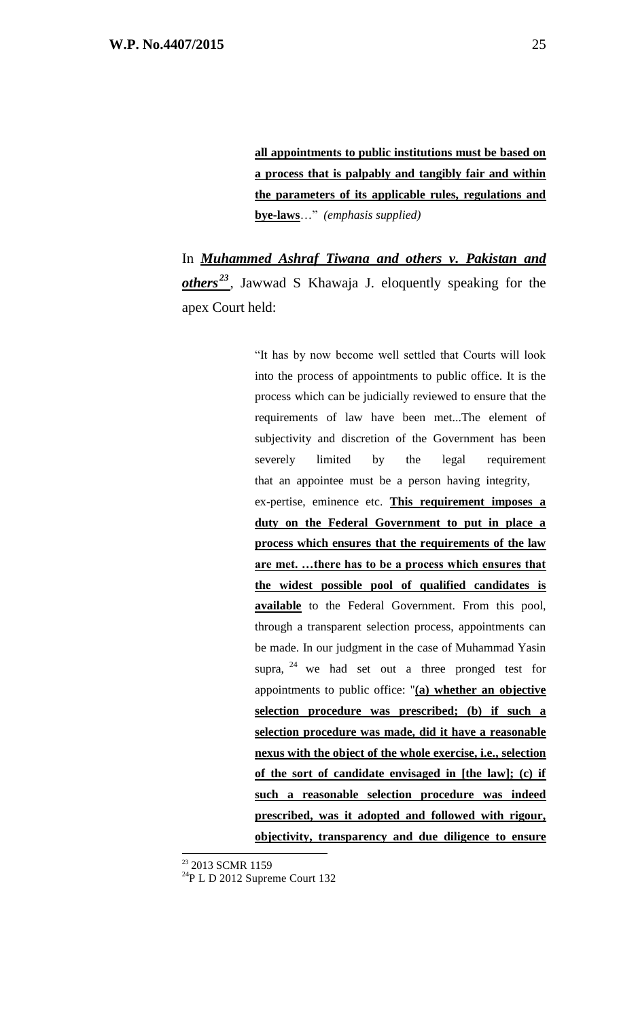**all appointments to public institutions must be based on a process that is palpably and tangibly fair and within the parameters of its applicable rules, regulations and bye-laws**…" *(emphasis supplied)*

In *Muhammed Ashraf Tiwana and others v. Pakistan and others <sup>23</sup>* , Jawwad S Khawaja J. eloquently speaking for the apex Court held:

> "It has by now become well settled that Courts will look into the process of appointments to public office. It is the process which can be judicially reviewed to ensure that the requirements of law have been met...The element of subjectivity and discretion of the Government has been severely limited by the legal requirement that an appointee must be a person having integrity, ex-pertise, eminence etc. **This requirement imposes a duty on the Federal Government to put in place a process which ensures that the requirements of the law are met. …there has to be a process which ensures that the widest possible pool of qualified candidates is**  available to the Federal Government. From this pool, through a transparent selection process, appointments can be made. In our judgment in the case of Muhammad Yasin supra,  $24$  we had set out a three pronged test for appointments to public office: "**(a) whether an objective selection procedure was prescribed; (b) if such a selection procedure was made, did it have a reasonable nexus with the object of the whole exercise, i.e., selection of the sort of candidate envisaged in [the law]; (c) if such a reasonable selection procedure was indeed prescribed, was it adopted and followed with rigour, objectivity, transparency and due diligence to ensure**

<sup>&</sup>lt;sup>23</sup> 2013 SCMR 1159

<sup>24</sup>P L D 2012 Supreme Court 132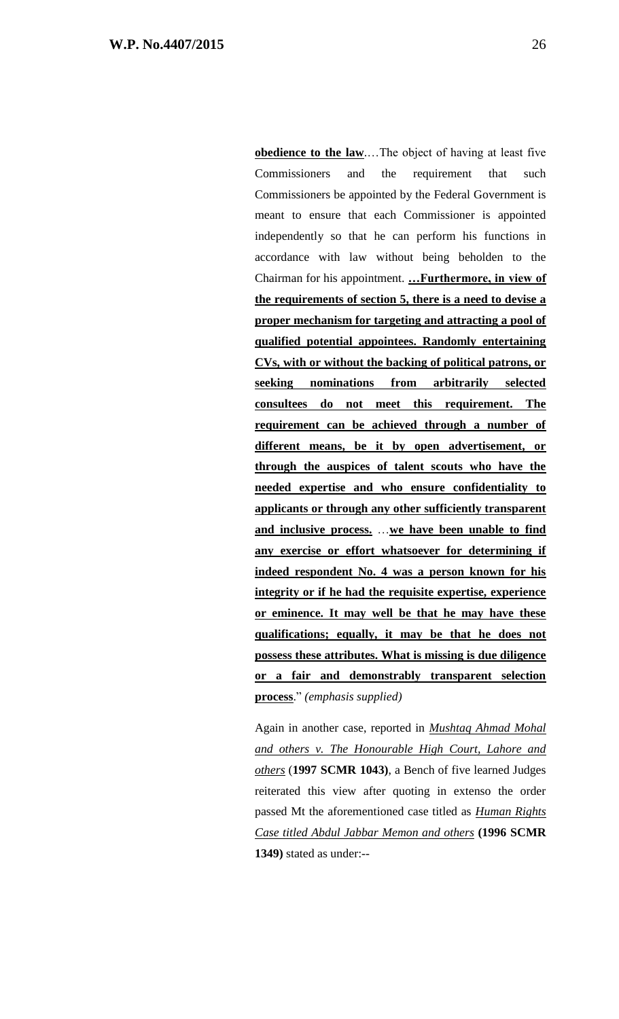**obedience to the law**....The object of having at least five Commissioners and the requirement that such Commissioners be appointed by the Federal Government is meant to ensure that each Commissioner is appointed independently so that he can perform his functions in accordance with law without being beholden to the Chairman for his appointment. **…Furthermore, in view of the requirements of section 5, there is a need to devise a proper mechanism for targeting and attracting a pool of qualified potential appointees. Randomly entertaining CVs, with or without the backing of political patrons, or seeking nominations from arbitrarily selected consultees do not meet this requirement. The requirement can be achieved through a number of different means, be it by open advertisement, or through the auspices of talent scouts who have the needed expertise and who ensure confidentiality to applicants or through any other sufficiently transparent and inclusive process.** …**we have been unable to find any exercise or effort whatsoever for determining if indeed respondent No. 4 was a person known for his integrity or if he had the requisite expertise, experience or eminence. It may well be that he may have these qualifications; equally, it may be that he does not possess these attributes. What is missing is due diligence or a fair and demonstrably transparent selection process**." *(emphasis supplied)*

Again in another case, reported in *Mushtaq Ahmad Mohal and others v. The Honourable High Court, Lahore and others* (**1997 SCMR 1043)**, a Bench of five learned Judges reiterated this view after quoting in extenso the order passed Mt the aforementioned case titled as *Human Rights Case titled Abdul Jabbar Memon and others* **(1996 SCMR 1349)** stated as under:--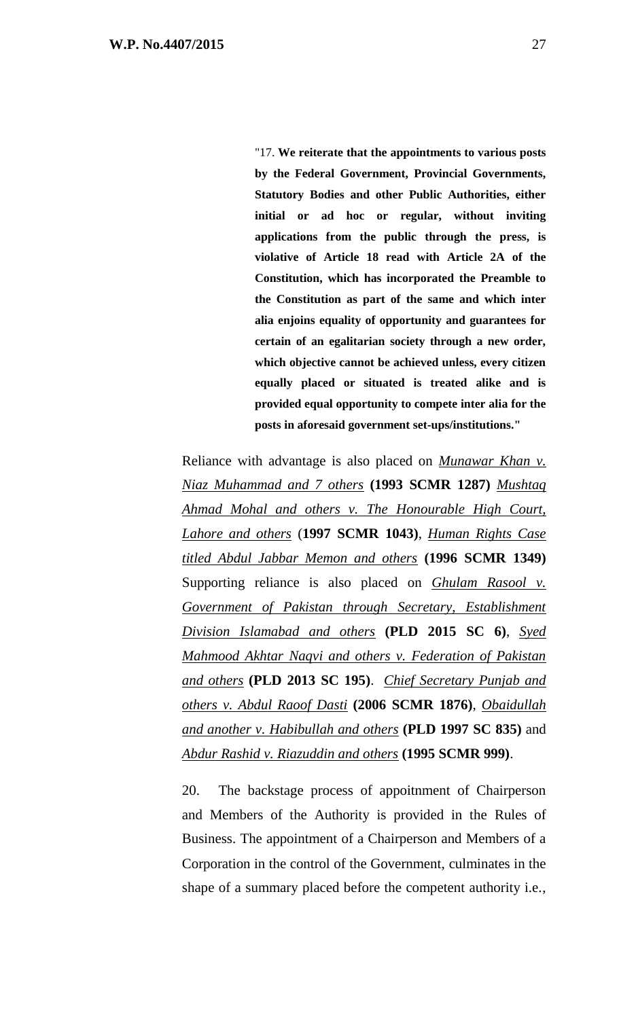"17. **We reiterate that the appointments to various posts by the Federal Government, Provincial Governments, Statutory Bodies and other Public Authorities, either initial or ad hoc or regular, without inviting applications from the public through the press, is violative of Article 18 read with Article 2A of the Constitution, which has incorporated the Preamble to the Constitution as part of the same and which inter alia enjoins equality of opportunity and guarantees for certain of an egalitarian society through a new order, which objective cannot be achieved unless, every citizen equally placed or situated is treated alike and is provided equal opportunity to compete inter alia for the posts in aforesaid government set-ups/institutions."**

Reliance with advantage is also placed on *Munawar Khan v. Niaz Muhammad and 7 others* **(1993 SCMR 1287)** *Mushtaq Ahmad Mohal and others v. The Honourable High Court, Lahore and others* (**1997 SCMR 1043)**, *Human Rights Case titled Abdul Jabbar Memon and others* **(1996 SCMR 1349)** Supporting reliance is also placed on *Ghulam Rasool v. Government of Pakistan through Secretary, Establishment Division Islamabad and others* **(PLD 2015 SC 6)**, *Syed Mahmood Akhtar Naqvi and others v. Federation of Pakistan and others* **(PLD 2013 SC 195)**. *Chief Secretary Punjab and others v. Abdul Raoof Dasti* **(2006 SCMR 1876)**, *Obaidullah and another v. Habibullah and others* **(PLD 1997 SC 835)** and *Abdur Rashid v. Riazuddin and others* **(1995 SCMR 999)**.

20. The backstage process of appoitnment of Chairperson and Members of the Authority is provided in the Rules of Business. The appointment of a Chairperson and Members of a Corporation in the control of the Government, culminates in the shape of a summary placed before the competent authority i.e.,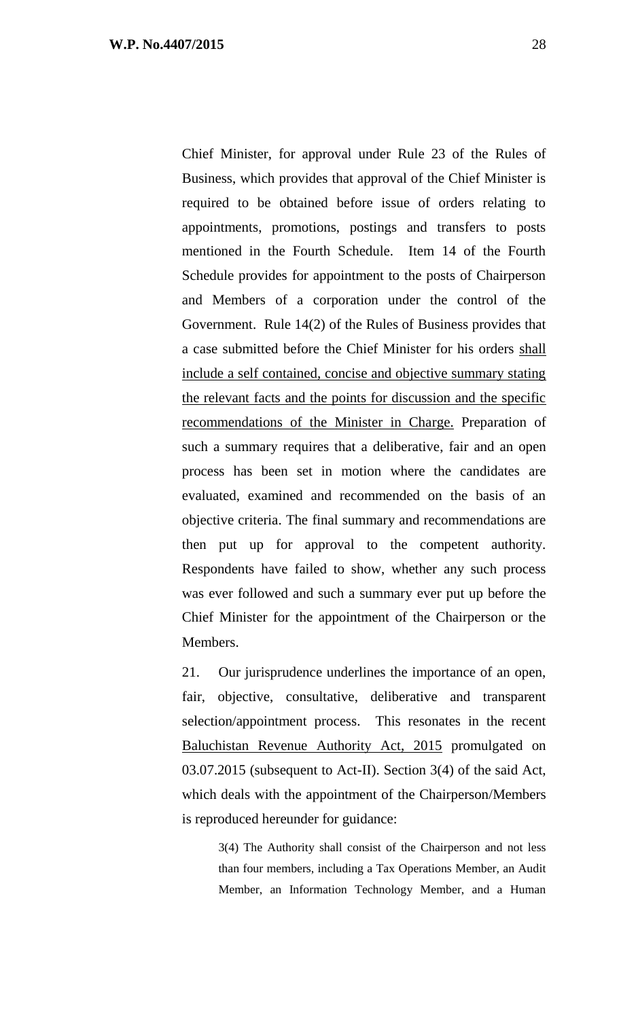Chief Minister, for approval under Rule 23 of the Rules of Business, which provides that approval of the Chief Minister is required to be obtained before issue of orders relating to appointments, promotions, postings and transfers to posts mentioned in the Fourth Schedule. Item 14 of the Fourth Schedule provides for appointment to the posts of Chairperson and Members of a corporation under the control of the Government. Rule 14(2) of the Rules of Business provides that a case submitted before the Chief Minister for his orders shall include a self contained, concise and objective summary stating the relevant facts and the points for discussion and the specific recommendations of the Minister in Charge. Preparation of such a summary requires that a deliberative, fair and an open process has been set in motion where the candidates are evaluated, examined and recommended on the basis of an objective criteria. The final summary and recommendations are then put up for approval to the competent authority. Respondents have failed to show, whether any such process was ever followed and such a summary ever put up before the Chief Minister for the appointment of the Chairperson or the Members.

21. Our jurisprudence underlines the importance of an open, fair, objective, consultative, deliberative and transparent selection/appointment process. This resonates in the recent Baluchistan Revenue Authority Act, 2015 promulgated on 03.07.2015 (subsequent to Act-II). Section 3(4) of the said Act, which deals with the appointment of the Chairperson/Members is reproduced hereunder for guidance:

3(4) The Authority shall consist of the Chairperson and not less than four members, including a Tax Operations Member, an Audit Member, an Information Technology Member, and a Human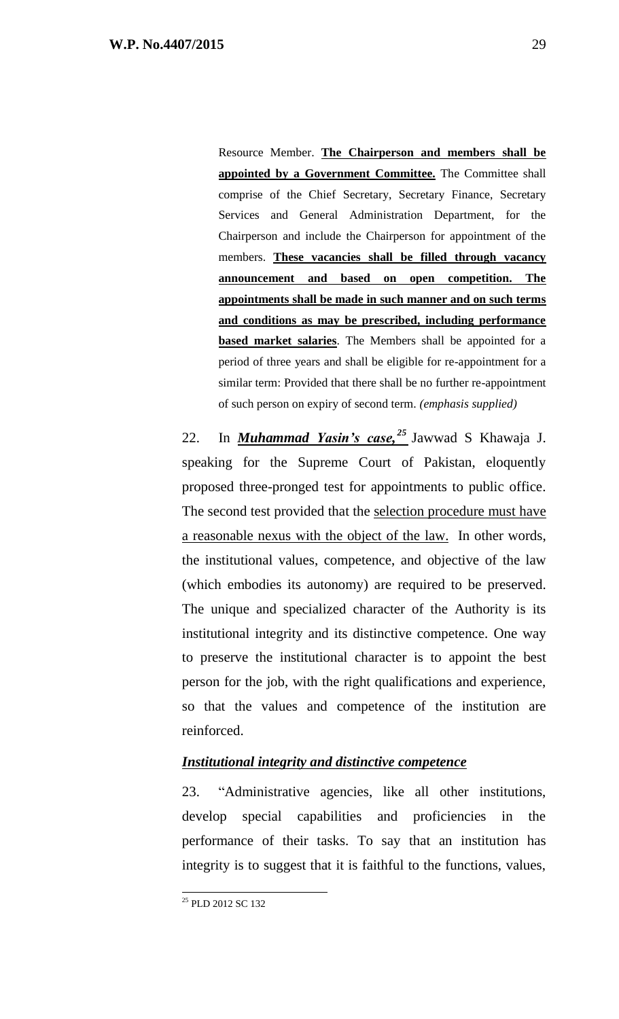Resource Member. **The Chairperson and members shall be appointed by a Government Committee.** The Committee shall comprise of the Chief Secretary, Secretary Finance, Secretary Services and General Administration Department, for the Chairperson and include the Chairperson for appointment of the members. **These vacancies shall be filled through vacancy announcement and based on open competition. The appointments shall be made in such manner and on such terms and conditions as may be prescribed, including performance based market salaries**. The Members shall be appointed for a period of three years and shall be eligible for re-appointment for a similar term: Provided that there shall be no further re-appointment of such person on expiry of second term. *(emphasis supplied)*

22. In *Muhammad Yasin's case, <sup>25</sup>* Jawwad S Khawaja J. speaking for the Supreme Court of Pakistan, eloquently proposed three-pronged test for appointments to public office. The second test provided that the selection procedure must have a reasonable nexus with the object of the law. In other words, the institutional values, competence, and objective of the law (which embodies its autonomy) are required to be preserved. The unique and specialized character of the Authority is its institutional integrity and its distinctive competence. One way to preserve the institutional character is to appoint the best person for the job, with the right qualifications and experience, so that the values and competence of the institution are reinforced.

### *Institutional integrity and distinctive competence*

23. "Administrative agencies, like all other institutions, develop special capabilities and proficiencies in the performance of their tasks. To say that an institution has integrity is to suggest that it is faithful to the functions, values,

 $\overline{a}$ <sup>25</sup> PLD 2012 SC 132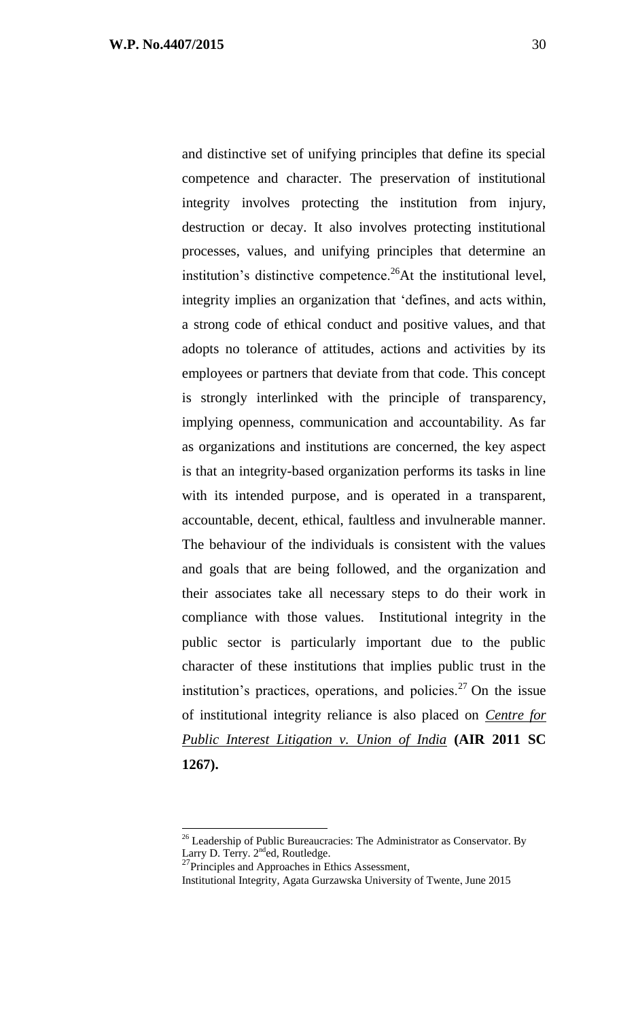and distinctive set of unifying principles that define its special competence and character. The preservation of institutional integrity involves protecting the institution from injury, destruction or decay. It also involves protecting institutional processes, values, and unifying principles that determine an institution's distinctive competence.<sup>26</sup>At the institutional level, integrity implies an organization that 'defines, and acts within, a strong code of ethical conduct and positive values, and that adopts no tolerance of attitudes, actions and activities by its employees or partners that deviate from that code. This concept is strongly interlinked with the principle of transparency, implying openness, communication and accountability. As far as organizations and institutions are concerned, the key aspect is that an integrity-based organization performs its tasks in line with its intended purpose, and is operated in a transparent, accountable, decent, ethical, faultless and invulnerable manner. The behaviour of the individuals is consistent with the values and goals that are being followed, and the organization and their associates take all necessary steps to do their work in compliance with those values. Institutional integrity in the public sector is particularly important due to the public character of these institutions that implies public trust in the institution's practices, operations, and policies.<sup>27</sup> On the issue of institutional integrity reliance is also placed on *Centre for Public Interest Litigation v. Union of India* **(AIR 2011 SC 1267).**

<sup>&</sup>lt;sup>26</sup> Leadership of Public Bureaucracies: The Administrator as Conservator. By Larry D. Terry.  $2^{nd}$ ed, Routledge.

 $^{27}$ Principles and Approaches in Ethics Assessment,

Institutional Integrity, Agata Gurzawska University of Twente, June 2015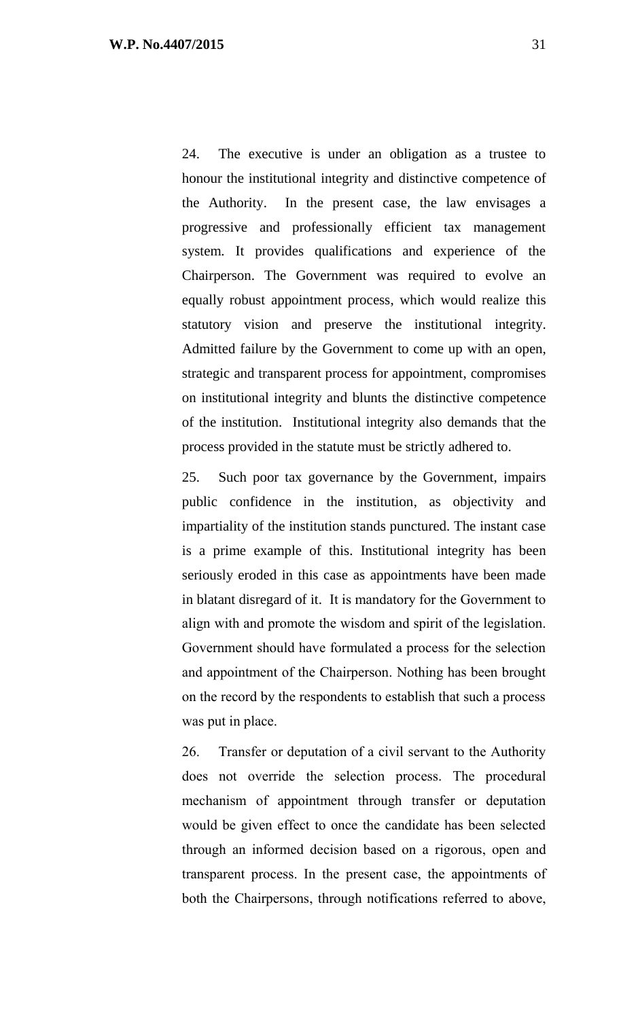24. The executive is under an obligation as a trustee to honour the institutional integrity and distinctive competence of the Authority. In the present case, the law envisages a progressive and professionally efficient tax management system. It provides qualifications and experience of the Chairperson. The Government was required to evolve an equally robust appointment process, which would realize this statutory vision and preserve the institutional integrity. Admitted failure by the Government to come up with an open, strategic and transparent process for appointment, compromises on institutional integrity and blunts the distinctive competence of the institution. Institutional integrity also demands that the process provided in the statute must be strictly adhered to.

25. Such poor tax governance by the Government, impairs public confidence in the institution, as objectivity and impartiality of the institution stands punctured. The instant case is a prime example of this. Institutional integrity has been seriously eroded in this case as appointments have been made in blatant disregard of it. It is mandatory for the Government to align with and promote the wisdom and spirit of the legislation. Government should have formulated a process for the selection and appointment of the Chairperson. Nothing has been brought on the record by the respondents to establish that such a process was put in place.

26. Transfer or deputation of a civil servant to the Authority does not override the selection process. The procedural mechanism of appointment through transfer or deputation would be given effect to once the candidate has been selected through an informed decision based on a rigorous, open and transparent process. In the present case, the appointments of both the Chairpersons, through notifications referred to above,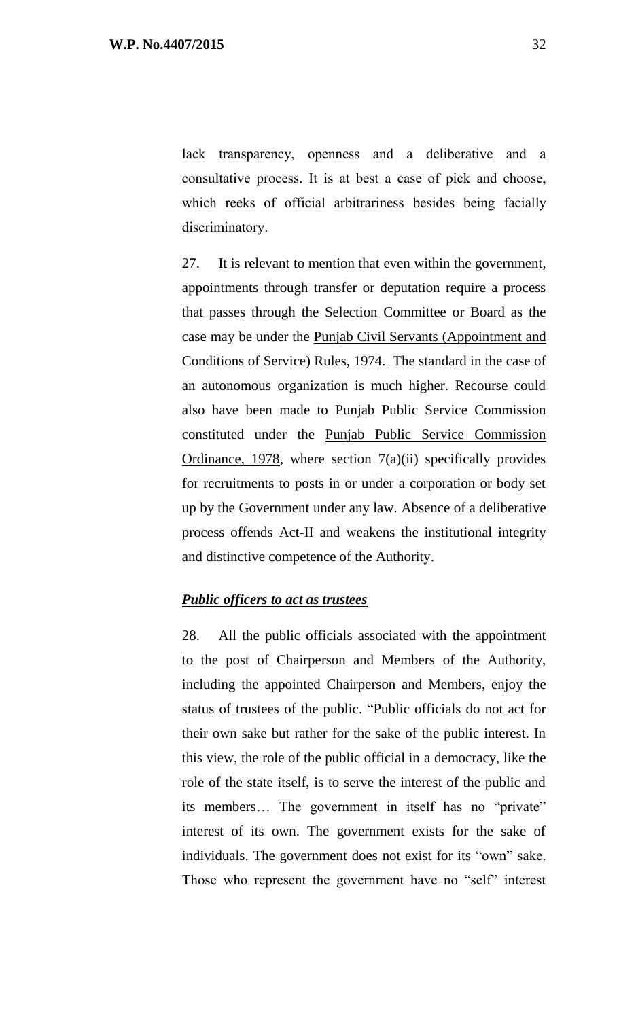lack transparency, openness and a deliberative and a consultative process. It is at best a case of pick and choose, which reeks of official arbitrariness besides being facially discriminatory.

27. It is relevant to mention that even within the government, appointments through transfer or deputation require a process that passes through the Selection Committee or Board as the case may be under the Punjab Civil Servants (Appointment and Conditions of Service) Rules, 1974. The standard in the case of an autonomous organization is much higher. Recourse could also have been made to Punjab Public Service Commission constituted under the Punjab Public Service Commission Ordinance, 1978, where section 7(a)(ii) specifically provides for recruitments to posts in or under a corporation or body set up by the Government under any law. Absence of a deliberative process offends Act-II and weakens the institutional integrity and distinctive competence of the Authority.

#### *Public officers to act as trustees*

28. All the public officials associated with the appointment to the post of Chairperson and Members of the Authority, including the appointed Chairperson and Members, enjoy the status of trustees of the public. "Public officials do not act for their own sake but rather for the sake of the public interest. In this view, the role of the public official in a democracy, like the role of the state itself, is to serve the interest of the public and its members… The government in itself has no "private" interest of its own. The government exists for the sake of individuals. The government does not exist for its "own" sake. Those who represent the government have no "self" interest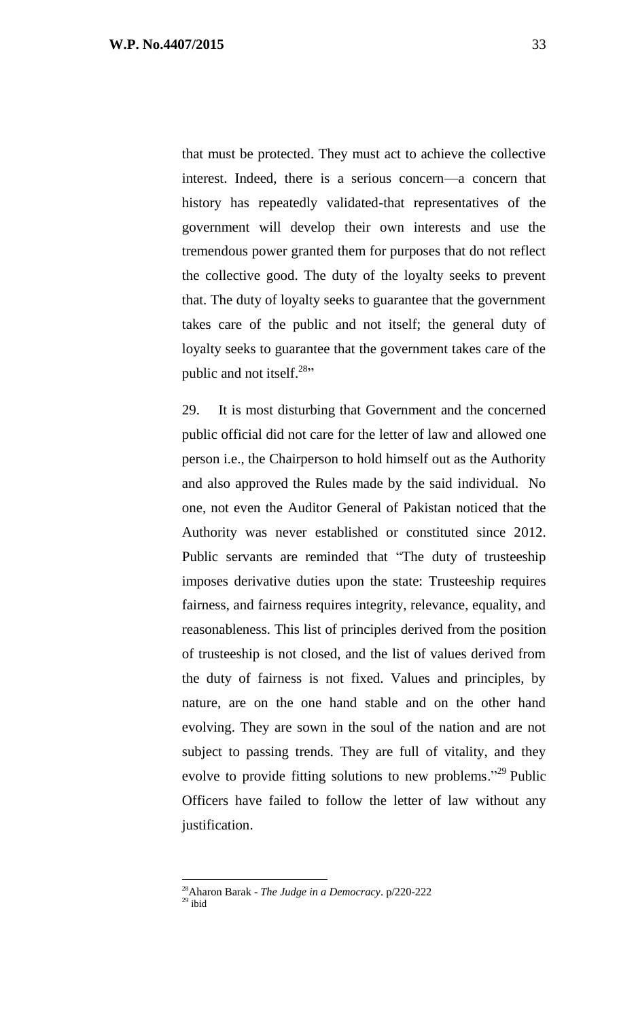that must be protected. They must act to achieve the collective interest. Indeed, there is a serious concern—a concern that history has repeatedly validated-that representatives of the government will develop their own interests and use the tremendous power granted them for purposes that do not reflect the collective good. The duty of the loyalty seeks to prevent that. The duty of loyalty seeks to guarantee that the government takes care of the public and not itself; the general duty of loyalty seeks to guarantee that the government takes care of the public and not itself. $28$ <sup>28</sup></sub>

29. It is most disturbing that Government and the concerned public official did not care for the letter of law and allowed one person i.e., the Chairperson to hold himself out as the Authority and also approved the Rules made by the said individual. No one, not even the Auditor General of Pakistan noticed that the Authority was never established or constituted since 2012. Public servants are reminded that "The duty of trusteeship imposes derivative duties upon the state: Trusteeship requires fairness, and fairness requires integrity, relevance, equality, and reasonableness. This list of principles derived from the position of trusteeship is not closed, and the list of values derived from the duty of fairness is not fixed. Values and principles, by nature, are on the one hand stable and on the other hand evolving. They are sown in the soul of the nation and are not subject to passing trends. They are full of vitality, and they evolve to provide fitting solutions to new problems."<sup>29</sup> Public Officers have failed to follow the letter of law without any justification.

<sup>28</sup>Aharon Barak - *The Judge in a Democracy*. p/220-222

 $29$  ibid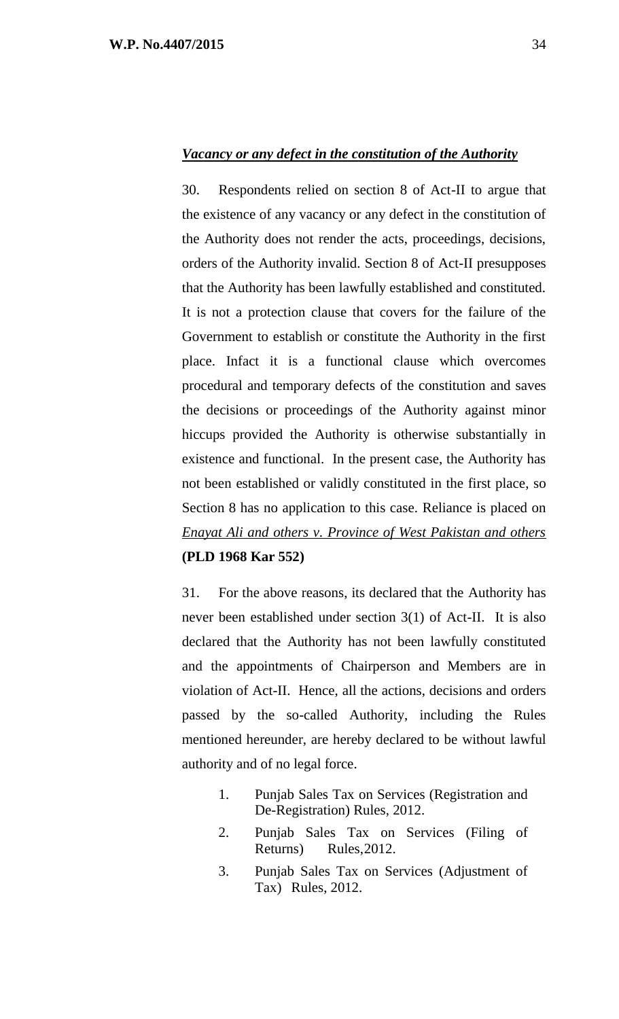#### *Vacancy or any defect in the constitution of the Authority*

30. Respondents relied on section 8 of Act-II to argue that the existence of any vacancy or any defect in the constitution of the Authority does not render the acts, proceedings, decisions, orders of the Authority invalid. Section 8 of Act-II presupposes that the Authority has been lawfully established and constituted. It is not a protection clause that covers for the failure of the Government to establish or constitute the Authority in the first place. Infact it is a functional clause which overcomes procedural and temporary defects of the constitution and saves the decisions or proceedings of the Authority against minor hiccups provided the Authority is otherwise substantially in existence and functional. In the present case, the Authority has not been established or validly constituted in the first place, so Section 8 has no application to this case. Reliance is placed on *Enayat Ali and others v. Province of West Pakistan and others* **(PLD 1968 Kar 552)**

31. For the above reasons, its declared that the Authority has never been established under section 3(1) of Act-II. It is also declared that the Authority has not been lawfully constituted and the appointments of Chairperson and Members are in violation of Act-II. Hence, all the actions, decisions and orders passed by the so-called Authority, including the Rules mentioned hereunder, are hereby declared to be without lawful authority and of no legal force.

- 1. Punjab Sales Tax on Services (Registration and De-Registration) Rules, 2012.
- 2. Punjab Sales Tax on Services (Filing of Returns) Rules,2012.
- 3. Punjab Sales Tax on Services (Adjustment of Tax) Rules, 2012.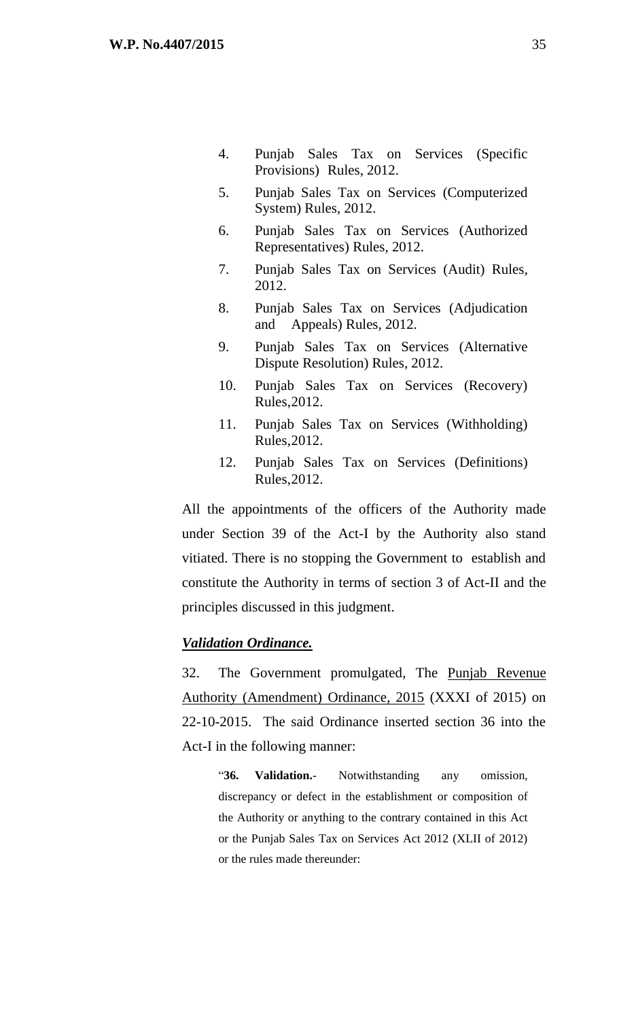- 4. Punjab Sales Tax on Services (Specific Provisions) Rules, 2012.
- 5. Punjab Sales Tax on Services (Computerized System) Rules, 2012.
- 6. Punjab Sales Tax on Services (Authorized Representatives) Rules, 2012.
- 7. Punjab Sales Tax on Services (Audit) Rules, 2012.
- 8. Punjab Sales Tax on Services (Adjudication and Appeals) Rules, 2012.
- 9. Punjab Sales Tax on Services (Alternative Dispute Resolution) Rules, 2012.
- 10. Punjab Sales Tax on Services (Recovery) Rules,2012.
- 11. Punjab Sales Tax on Services (Withholding) Rules,2012.
- 12. Punjab Sales Tax on Services (Definitions) Rules,2012.

All the appointments of the officers of the Authority made under Section 39 of the Act-I by the Authority also stand vitiated. There is no stopping the Government to establish and constitute the Authority in terms of section 3 of Act-II and the principles discussed in this judgment.

#### *Validation Ordinance.*

32. The Government promulgated, The Punjab Revenue Authority (Amendment) Ordinance, 2015 (XXXI of 2015) on 22-10-2015. The said Ordinance inserted section 36 into the Act-I in the following manner:

"**36. Validation.**- Notwithstanding any omission, discrepancy or defect in the establishment or composition of the Authority or anything to the contrary contained in this Act or the Punjab Sales Tax on Services Act 2012 (XLII of 2012) or the rules made thereunder: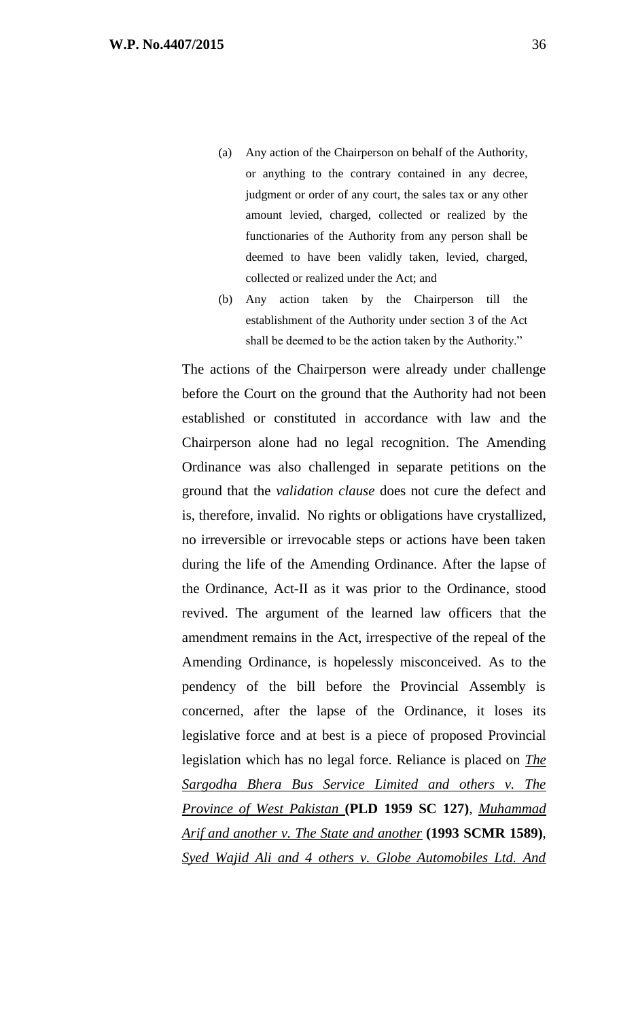- (a) Any action of the Chairperson on behalf of the Authority, or anything to the contrary contained in any decree, judgment or order of any court, the sales tax or any other amount levied, charged, collected or realized by the functionaries of the Authority from any person shall be deemed to have been validly taken, levied, charged, collected or realized under the Act; and
- (b) Any action taken by the Chairperson till the establishment of the Authority under section 3 of the Act shall be deemed to be the action taken by the Authority."

The actions of the Chairperson were already under challenge before the Court on the ground that the Authority had not been established or constituted in accordance with law and the Chairperson alone had no legal recognition. The Amending Ordinance was also challenged in separate petitions on the ground that the *validation clause* does not cure the defect and is, therefore, invalid. No rights or obligations have crystallized, no irreversible or irrevocable steps or actions have been taken during the life of the Amending Ordinance. After the lapse of the Ordinance, Act-II as it was prior to the Ordinance, stood revived. The argument of the learned law officers that the amendment remains in the Act, irrespective of the repeal of the Amending Ordinance, is hopelessly misconceived. As to the pendency of the bill before the Provincial Assembly is concerned, after the lapse of the Ordinance, it loses its legislative force and at best is a piece of proposed Provincial legislation which has no legal force. Reliance is placed on *The Sargodha Bhera Bus Service Limited and others v. The Province of West Pakistan* **(PLD 1959 SC 127)**, *Muhammad Arif and another v. The State and another* **(1993 SCMR 1589)**, *Syed Wajid Ali and 4 others v. Globe Automobiles Ltd. And*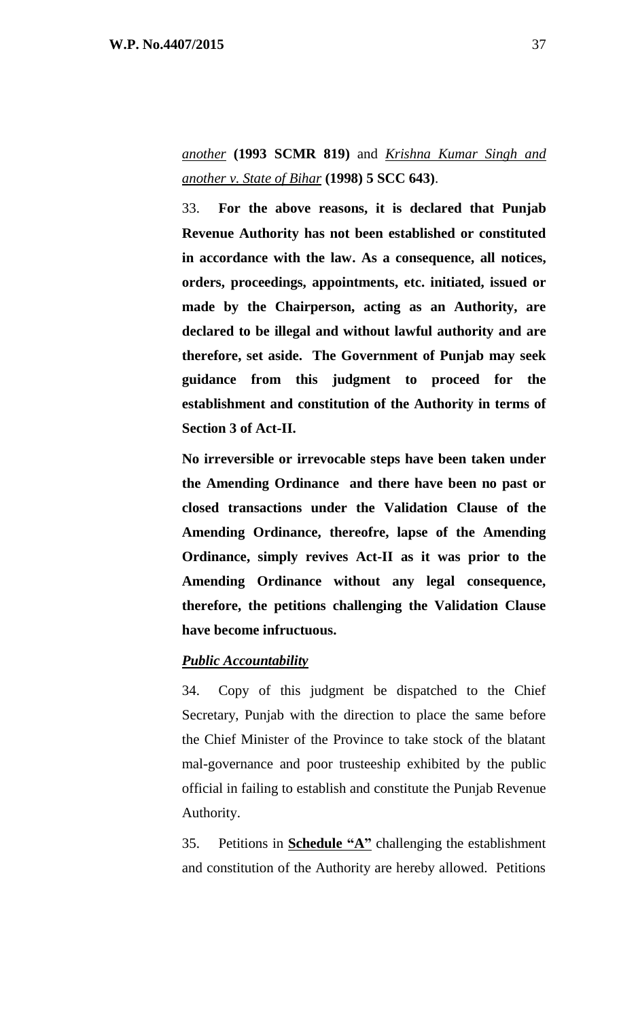*another* **(1993 SCMR 819)** and *Krishna Kumar Singh and another v. State of Bihar* **(1998) 5 SCC 643)**.

33. **For the above reasons, it is declared that Punjab Revenue Authority has not been established or constituted in accordance with the law. As a consequence, all notices, orders, proceedings, appointments, etc. initiated, issued or made by the Chairperson, acting as an Authority, are declared to be illegal and without lawful authority and are therefore, set aside. The Government of Punjab may seek guidance from this judgment to proceed for the establishment and constitution of the Authority in terms of Section 3 of Act-II.** 

**No irreversible or irrevocable steps have been taken under the Amending Ordinance and there have been no past or closed transactions under the Validation Clause of the Amending Ordinance, thereofre, lapse of the Amending Ordinance, simply revives Act-II as it was prior to the Amending Ordinance without any legal consequence, therefore, the petitions challenging the Validation Clause have become infructuous.**

### *Public Accountability*

34. Copy of this judgment be dispatched to the Chief Secretary, Punjab with the direction to place the same before the Chief Minister of the Province to take stock of the blatant mal-governance and poor trusteeship exhibited by the public official in failing to establish and constitute the Punjab Revenue Authority.

35. Petitions in **Schedule "A"** challenging the establishment and constitution of the Authority are hereby allowed. Petitions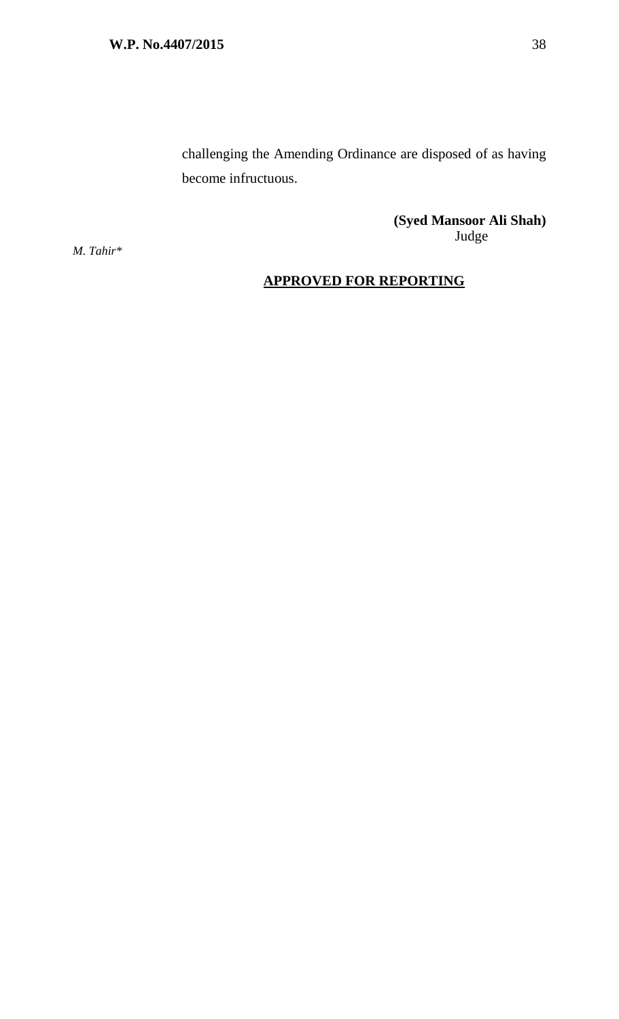challenging the Amending Ordinance are disposed of as having become infructuous.

> **(Syed Mansoor Ali Shah)** Judge

*M. Tahir\** 

# **APPROVED FOR REPORTING**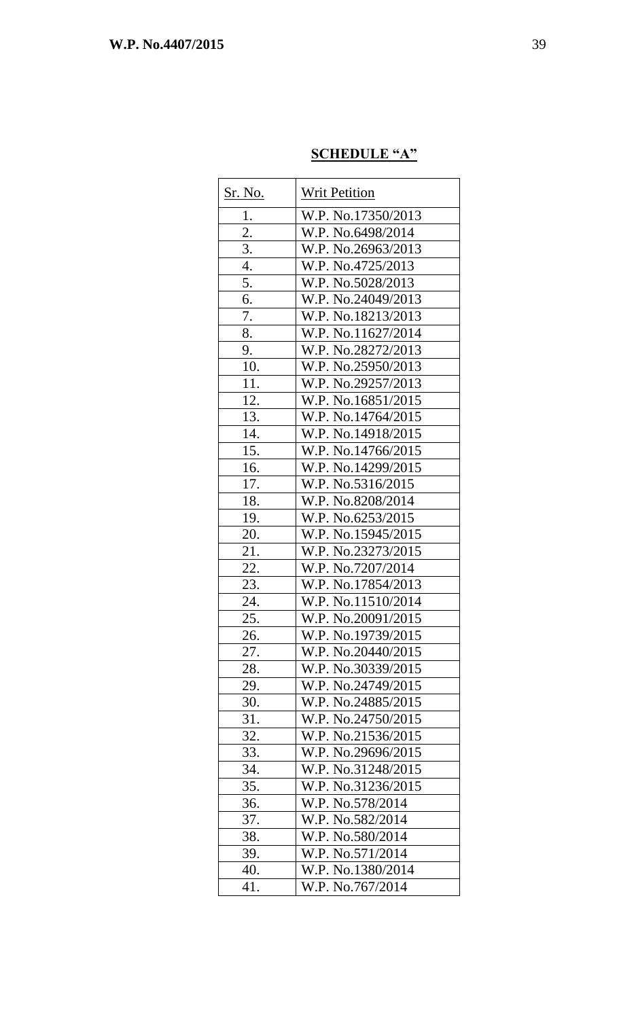# **SCHEDULE "A"**

| <u>Sr. No.</u> | <b>Writ Petition</b> |
|----------------|----------------------|
| 1.             | W.P. No.17350/2013   |
| 2.             | W.P. No.6498/2014    |
| 3.             | W.P. No.26963/2013   |
| 4.             | W.P. No.4725/2013    |
| 5.             | W.P. No.5028/2013    |
| 6.             | W.P. No.24049/2013   |
| 7.             | W.P. No.18213/2013   |
| 8.             | W.P. No.11627/2014   |
| 9.             | W.P. No.28272/2013   |
| 10.            | W.P. No.25950/2013   |
| 11.            | W.P. No.29257/2013   |
| 12.            | W.P. No.16851/2015   |
| 13.            | W.P. No.14764/2015   |
| 14.            | W.P. No.14918/2015   |
| 15.            | W.P. No.14766/2015   |
| 16.            | W.P. No.14299/2015   |
| 17.            | W.P. No.5316/2015    |
| 18.            | W.P. No.8208/2014    |
| 19.            | W.P. No.6253/2015    |
| 20.            | W.P. No.15945/2015   |
| 21.            | W.P. No.23273/2015   |
| 22.            | W.P. No.7207/2014    |
| 23.            | W.P. No.17854/2013   |
| 24.            | W.P. No.11510/2014   |
| 25.            | W.P. No.20091/2015   |
| 26.            | W.P. No.19739/2015   |
| 27.            | W.P. No.20440/2015   |
| 28.            | W.P. No.30339/2015   |
| 29.            | W.P. No.24749/2015   |
| 30.            | W.P. No.24885/2015   |
| 31.            | W.P. No.24750/2015   |
| 32.            | W.P. No.21536/2015   |
| 33.            | W.P. No.29696/2015   |
| 34.            | W.P. No.31248/2015   |
| 35.            | W.P. No.31236/2015   |
| 36.            | W.P. No.578/2014     |
| 37.            | W.P. No.582/2014     |
| 38.            | W.P. No.580/2014     |
| 39.            | W.P. No.571/2014     |
| 40.            | W.P. No.1380/2014    |
| 41.            | W.P. No.767/2014     |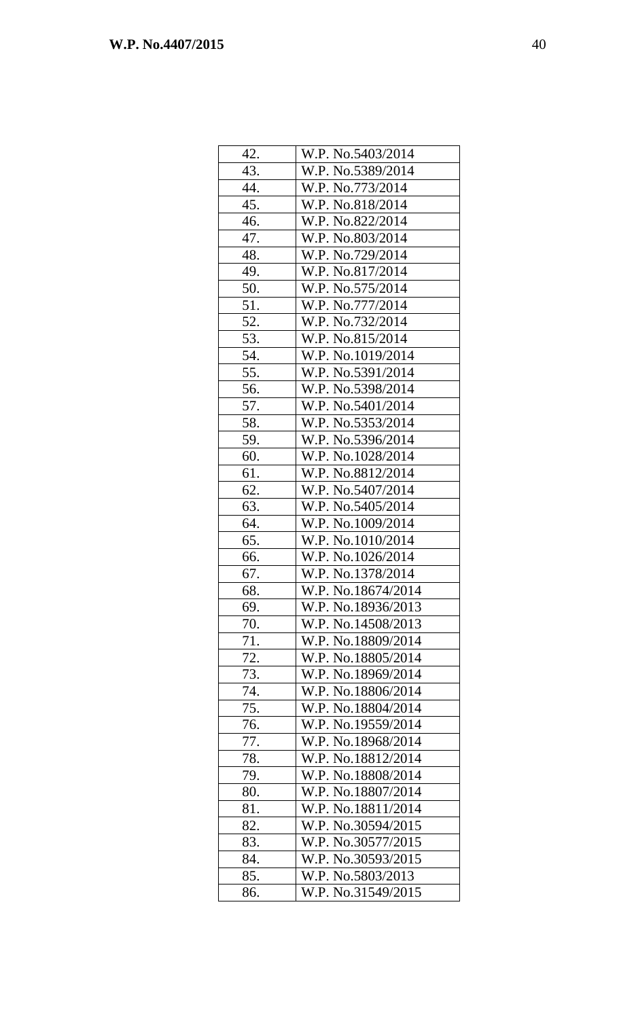| 42. | W.P. No.5403/2014  |
|-----|--------------------|
| 43. | W.P. No.5389/2014  |
| 44. | W.P. No.773/2014   |
| 45. | W.P. No.818/2014   |
| 46. | W.P. No.822/2014   |
| 47. | W.P. No.803/2014   |
| 48. | W.P. No.729/2014   |
| 49. | W.P. No.817/2014   |
| 50. | W.P. No.575/2014   |
| 51. | W.P. No.777/2014   |
| 52. | W.P. No.732/2014   |
| 53. | W.P. No.815/2014   |
| 54. | W.P. No.1019/2014  |
| 55. | W.P. No.5391/2014  |
| 56. | W.P. No.5398/2014  |
| 57. | W.P. No.5401/2014  |
| 58. | W.P. No.5353/2014  |
| 59. | W.P. No.5396/2014  |
| 60. | W.P. No.1028/2014  |
| 61. | W.P. No.8812/2014  |
| 62. | W.P. No.5407/2014  |
| 63. | W.P. No.5405/2014  |
| 64. | W.P. No.1009/2014  |
| 65. | W.P. No.1010/2014  |
| 66. | W.P. No.1026/2014  |
| 67. | W.P. No.1378/2014  |
| 68. | W.P. No.18674/2014 |
| 69. | W.P. No.18936/2013 |
| 70. | W.P. No.14508/2013 |
| 71. | W.P. No.18809/2014 |
| 72. | W.P. No.18805/2014 |
| 73. | W.P. No.18969/2014 |
| 74. | W.P. No.18806/2014 |
| 75. | W.P. No.18804/2014 |
| 76. | W.P. No.19559/2014 |
| 77. | W.P. No.18968/2014 |
| 78. | W.P. No.18812/2014 |
| 79. | W.P. No.18808/2014 |
| 80. | W.P. No.18807/2014 |
| 81. | W.P. No.18811/2014 |
| 82. | W.P. No.30594/2015 |
| 83. | W.P. No.30577/2015 |
| 84. | W.P. No.30593/2015 |
| 85. | W.P. No.5803/2013  |
| 86. | W.P. No.31549/2015 |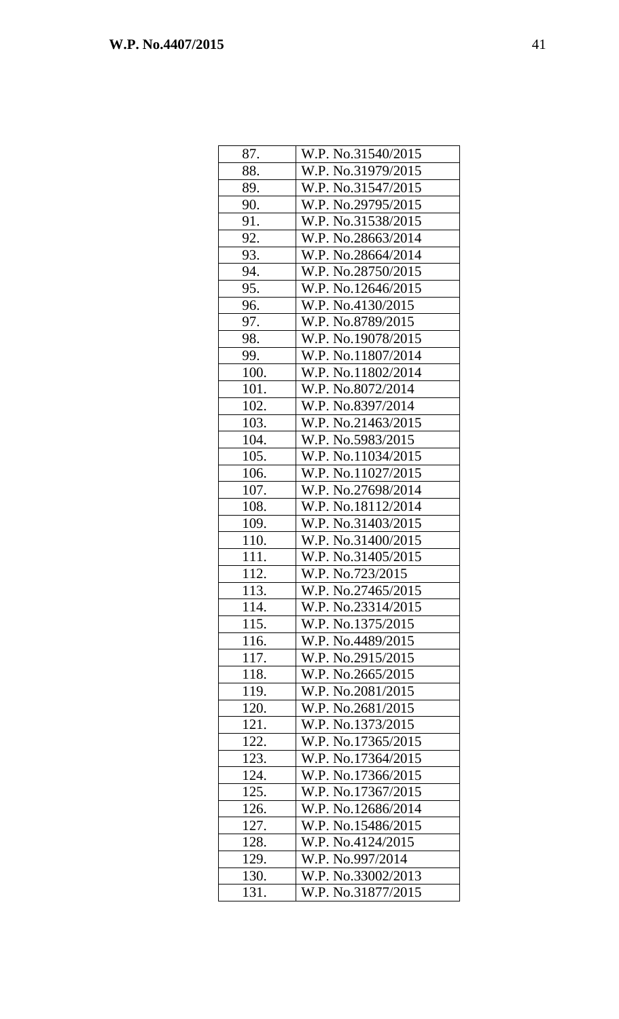| 87.  | W.P. No.31540/2015 |
|------|--------------------|
| 88.  | W.P. No.31979/2015 |
| 89.  | W.P. No.31547/2015 |
| 90.  | W.P. No.29795/2015 |
| 91.  | W.P. No.31538/2015 |
| 92.  | W.P. No.28663/2014 |
| 93.  | W.P. No.28664/2014 |
| 94.  | W.P. No.28750/2015 |
| 95.  | W.P. No.12646/2015 |
| 96.  | W.P. No.4130/2015  |
| 97.  | W.P. No.8789/2015  |
| 98.  | W.P. No.19078/2015 |
| 99.  | W.P. No.11807/2014 |
| 100. | W.P. No.11802/2014 |
| 101. | W.P. No.8072/2014  |
| 102. | W.P. No.8397/2014  |
| 103. | W.P. No.21463/2015 |
| 104. | W.P. No.5983/2015  |
| 105. | W.P. No.11034/2015 |
| 106. | W.P. No.11027/2015 |
| 107. | W.P. No.27698/2014 |
| 108. | W.P. No.18112/2014 |
| 109. | W.P. No.31403/2015 |
| 110. | W.P. No.31400/2015 |
| 111. | W.P. No.31405/2015 |
| 112. | W.P. No.723/2015   |
| 113. | W.P. No.27465/2015 |
| 114. | W.P. No.23314/2015 |
| 115. | W.P. No.1375/2015  |
| 116. | W.P. No.4489/2015  |
| 117. | W.P. No.2915/2015  |
| 118. | W.P. No.2665/2015  |
| 119. | W.P. No.2081/2015  |
| 120. | W.P. No.2681/2015  |
| 121. | W.P. No.1373/2015  |
| 122. | W.P. No.17365/2015 |
| 123. | W.P. No.17364/2015 |
| 124. | W.P. No.17366/2015 |
| 125. | W.P. No.17367/2015 |
| 126. | W.P. No.12686/2014 |
| 127. | W.P. No.15486/2015 |
| 128. | W.P. No.4124/2015  |
| 129. | W.P. No.997/2014   |
| 130. | W.P. No.33002/2013 |
| 131. | W.P. No.31877/2015 |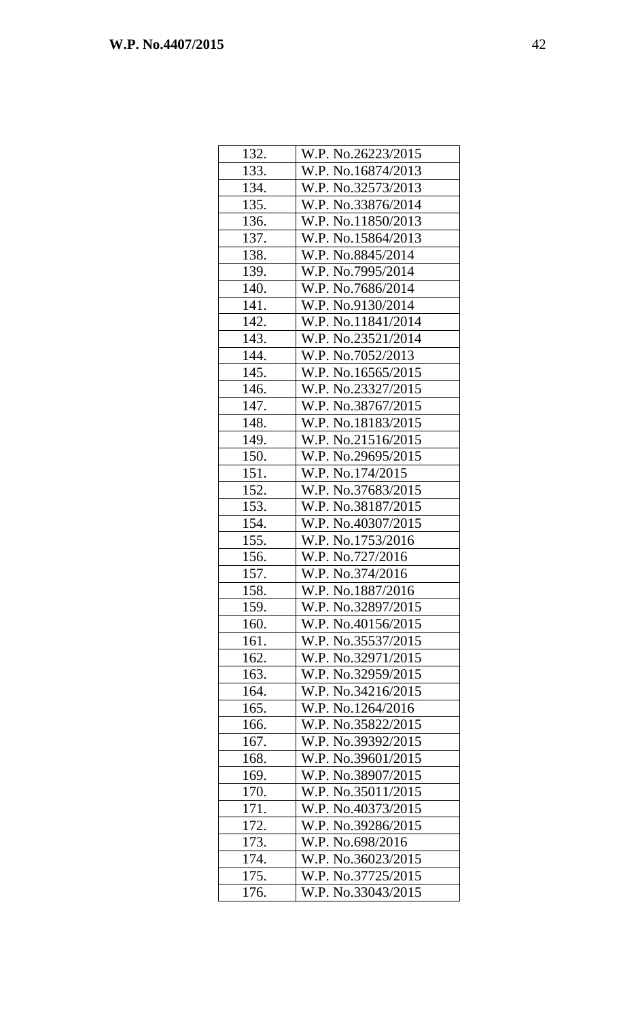| 132. | W.P. No.26223/2015 |
|------|--------------------|
| 133. | W.P. No.16874/2013 |
| 134. | W.P. No.32573/2013 |
| 135. | W.P. No.33876/2014 |
| 136. | W.P. No.11850/2013 |
| 137. | W.P. No.15864/2013 |
| 138. | W.P. No.8845/2014  |
| 139. | W.P. No.7995/2014  |
| 140. | W.P. No.7686/2014  |
| 141. | W.P. No.9130/2014  |
| 142. | W.P. No.11841/2014 |
| 143. | W.P. No.23521/2014 |
| 144. | W.P. No.7052/2013  |
| 145. | W.P. No.16565/2015 |
| 146. | W.P. No.23327/2015 |
| 147. | W.P. No.38767/2015 |
| 148. | W.P. No.18183/2015 |
| 149. | W.P. No.21516/2015 |
| 150. | W.P. No.29695/2015 |
| 151. | W.P. No.174/2015   |
| 152. | W.P. No.37683/2015 |
| 153. | W.P. No.38187/2015 |
| 154. | W.P. No.40307/2015 |
| 155. | W.P. No.1753/2016  |
| 156. | W.P. No.727/2016   |
| 157. | W.P. No.374/2016   |
| 158. | W.P. No.1887/2016  |
| 159. | W.P. No.32897/2015 |
| 160. | W.P. No.40156/2015 |
| 161. | W.P. No.35537/2015 |
| 162. | W.P. No.32971/2015 |
| 163. | W.P. No.32959/2015 |
| 164. | W.P. No.34216/2015 |
| 165. | W.P. No.1264/2016  |
| 166. | W.P. No.35822/2015 |
| 167. | W.P. No.39392/2015 |
| 168. | W.P. No.39601/2015 |
| 169. | W.P. No.38907/2015 |
| 170. | W.P. No.35011/2015 |
| 171. | W.P. No.40373/2015 |
| 172. | W.P. No.39286/2015 |
| 173. | W.P. No.698/2016   |
| 174. | W.P. No.36023/2015 |
| 175. | W.P. No.37725/2015 |
| 176. | W.P. No.33043/2015 |